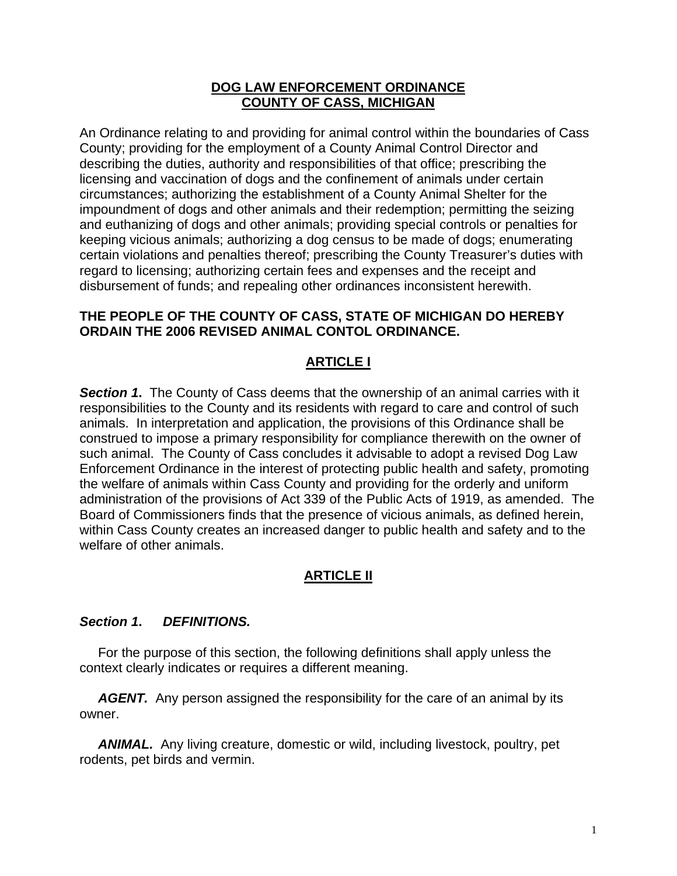## **DOG LAW ENFORCEMENT ORDINANCE COUNTY OF CASS, MICHIGAN**

An Ordinance relating to and providing for animal control within the boundaries of Cass County; providing for the employment of a County Animal Control Director and describing the duties, authority and responsibilities of that office; prescribing the licensing and vaccination of dogs and the confinement of animals under certain circumstances; authorizing the establishment of a County Animal Shelter for the impoundment of dogs and other animals and their redemption; permitting the seizing and euthanizing of dogs and other animals; providing special controls or penalties for keeping vicious animals; authorizing a dog census to be made of dogs; enumerating certain violations and penalties thereof; prescribing the County Treasurer's duties with regard to licensing; authorizing certain fees and expenses and the receipt and disbursement of funds; and repealing other ordinances inconsistent herewith.

## **THE PEOPLE OF THE COUNTY OF CASS, STATE OF MICHIGAN DO HEREBY ORDAIN THE 2006 REVISED ANIMAL CONTOL ORDINANCE.**

## **ARTICLE I**

**Section 1.** The County of Cass deems that the ownership of an animal carries with it responsibilities to the County and its residents with regard to care and control of such animals. In interpretation and application, the provisions of this Ordinance shall be construed to impose a primary responsibility for compliance therewith on the owner of such animal. The County of Cass concludes it advisable to adopt a revised Dog Law Enforcement Ordinance in the interest of protecting public health and safety, promoting the welfare of animals within Cass County and providing for the orderly and uniform administration of the provisions of Act 339 of the Public Acts of 1919, as amended. The Board of Commissioners finds that the presence of vicious animals, as defined herein, within Cass County creates an increased danger to public health and safety and to the welfare of other animals.

## **ARTICLE II**

## *Section 1***.** *DEFINITIONS.*

 For the purpose of this section, the following definitions shall apply unless the context clearly indicates or requires a different meaning.

AGENT. Any person assigned the responsibility for the care of an animal by its owner.

 *ANIMAL.* Any living creature, domestic or wild, including livestock, poultry, pet rodents, pet birds and vermin.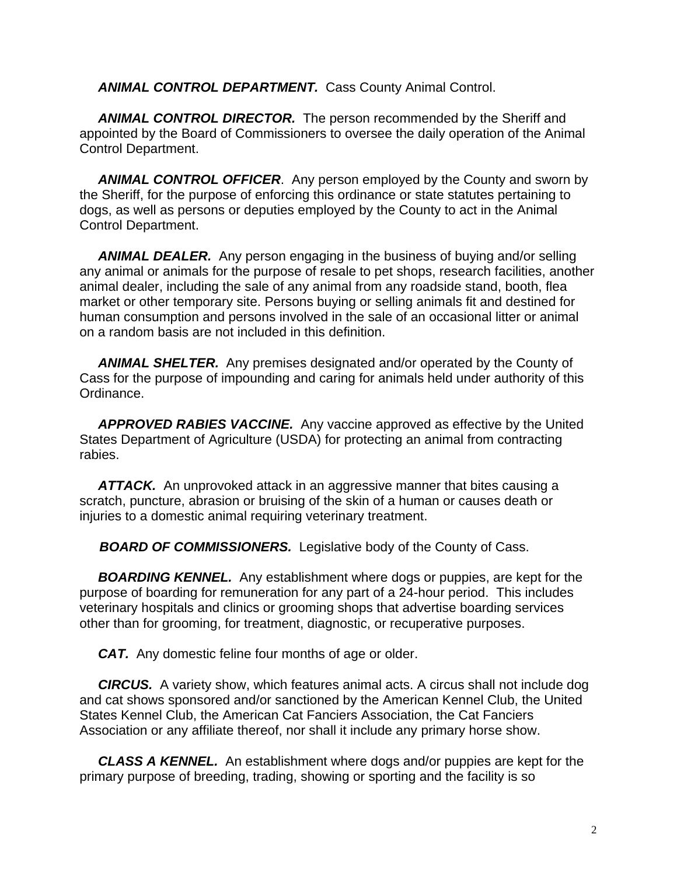*ANIMAL CONTROL DEPARTMENT.* Cass County Animal Control.

**ANIMAL CONTROL DIRECTOR.** The person recommended by the Sheriff and appointed by the Board of Commissioners to oversee the daily operation of the Animal Control Department.

 *ANIMAL CONTROL OFFICER*. Any person employed by the County and sworn by the Sheriff, for the purpose of enforcing this ordinance or state statutes pertaining to dogs, as well as persons or deputies employed by the County to act in the Animal Control Department.

 *ANIMAL DEALER.* Any person engaging in the business of buying and/or selling any animal or animals for the purpose of resale to pet shops, research facilities, another animal dealer, including the sale of any animal from any roadside stand, booth, flea market or other temporary site. Persons buying or selling animals fit and destined for human consumption and persons involved in the sale of an occasional litter or animal on a random basis are not included in this definition.

 *ANIMAL SHELTER.* Any premises designated and/or operated by the County of Cass for the purpose of impounding and caring for animals held under authority of this Ordinance.

 *APPROVED RABIES VACCINE.* Any vaccine approved as effective by the United States Department of Agriculture (USDA) for protecting an animal from contracting rabies.

 *ATTACK.* An unprovoked attack in an aggressive manner that bites causing a scratch, puncture, abrasion or bruising of the skin of a human or causes death or injuries to a domestic animal requiring veterinary treatment.

*BOARD OF COMMISSIONERS.* Legislative body of the County of Cass.

 *BOARDING KENNEL.* Any establishment where dogs or puppies, are kept for the purpose of boarding for remuneration for any part of a 24-hour period. This includes veterinary hospitals and clinics or grooming shops that advertise boarding services other than for grooming, for treatment, diagnostic, or recuperative purposes.

*CAT.* Any domestic feline four months of age or older.

 *CIRCUS.* A variety show, which features animal acts. A circus shall not include dog and cat shows sponsored and/or sanctioned by the American Kennel Club, the United States Kennel Club, the American Cat Fanciers Association, the Cat Fanciers Association or any affiliate thereof, nor shall it include any primary horse show.

 *CLASS A KENNEL.* An establishment where dogs and/or puppies are kept for the primary purpose of breeding, trading, showing or sporting and the facility is so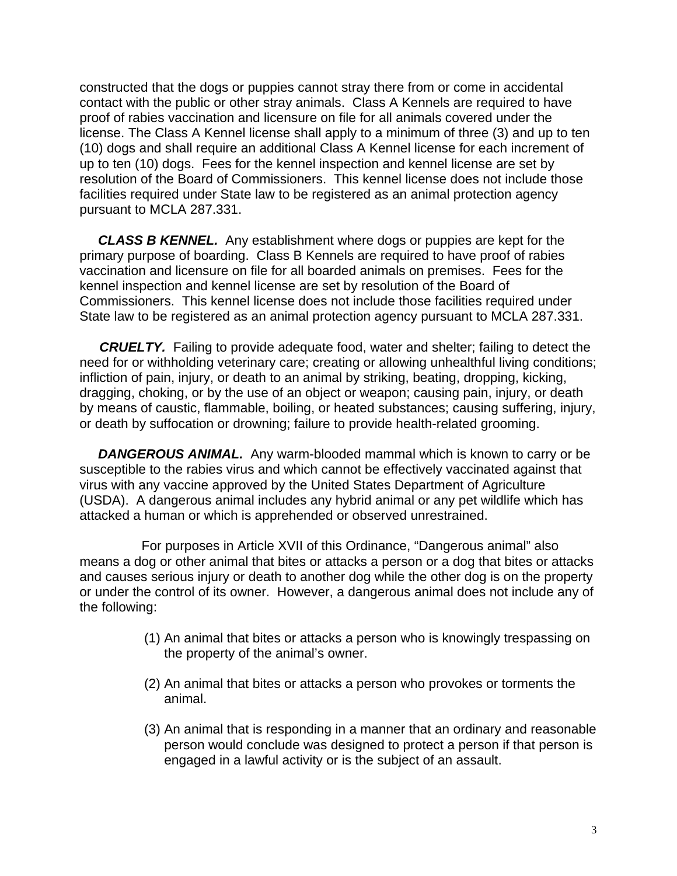constructed that the dogs or puppies cannot stray there from or come in accidental contact with the public or other stray animals. Class A Kennels are required to have proof of rabies vaccination and licensure on file for all animals covered under the license. The Class A Kennel license shall apply to a minimum of three (3) and up to ten (10) dogs and shall require an additional Class A Kennel license for each increment of up to ten (10) dogs. Fees for the kennel inspection and kennel license are set by resolution of the Board of Commissioners. This kennel license does not include those facilities required under State law to be registered as an animal protection agency pursuant to MCLA 287.331.

 *CLASS B KENNEL.* Any establishment where dogs or puppies are kept for the primary purpose of boarding. Class B Kennels are required to have proof of rabies vaccination and licensure on file for all boarded animals on premises. Fees for the kennel inspection and kennel license are set by resolution of the Board of Commissioners. This kennel license does not include those facilities required under State law to be registered as an animal protection agency pursuant to MCLA 287.331.

*CRUELTY.* Failing to provide adequate food, water and shelter; failing to detect the need for or withholding veterinary care; creating or allowing unhealthful living conditions; infliction of pain, injury, or death to an animal by striking, beating, dropping, kicking, dragging, choking, or by the use of an object or weapon; causing pain, injury, or death by means of caustic, flammable, boiling, or heated substances; causing suffering, injury, or death by suffocation or drowning; failure to provide health-related grooming.

 *DANGEROUS ANIMAL.* Any warm-blooded mammal which is known to carry or be susceptible to the rabies virus and which cannot be effectively vaccinated against that virus with any vaccine approved by the United States Department of Agriculture (USDA). A dangerous animal includes any hybrid animal or any pet wildlife which has attacked a human or which is apprehended or observed unrestrained.

 For purposes in Article XVII of this Ordinance, "Dangerous animal" also means a dog or other animal that bites or attacks a person or a dog that bites or attacks and causes serious injury or death to another dog while the other dog is on the property or under the control of its owner. However, a dangerous animal does not include any of the following:

- (1) An animal that bites or attacks a person who is knowingly trespassing on the property of the animal's owner.
- (2) An animal that bites or attacks a person who provokes or torments the animal.
- (3) An animal that is responding in a manner that an ordinary and reasonable person would conclude was designed to protect a person if that person is engaged in a lawful activity or is the subject of an assault.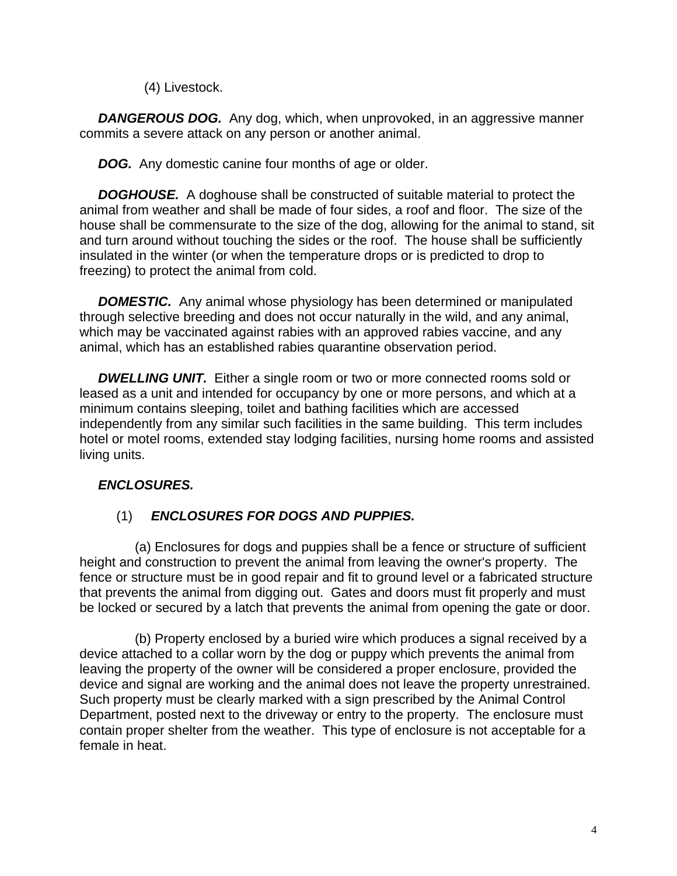(4) Livestock.

**DANGEROUS DOG.** Any dog, which, when unprovoked, in an aggressive manner commits a severe attack on any person or another animal.

**DOG.** Any domestic canine four months of age or older.

 *DOGHOUSE.* A doghouse shall be constructed of suitable material to protect the animal from weather and shall be made of four sides, a roof and floor. The size of the house shall be commensurate to the size of the dog, allowing for the animal to stand, sit and turn around without touching the sides or the roof. The house shall be sufficiently insulated in the winter (or when the temperature drops or is predicted to drop to freezing) to protect the animal from cold.

 *DOMESTIC.* Any animal whose physiology has been determined or manipulated through selective breeding and does not occur naturally in the wild, and any animal, which may be vaccinated against rabies with an approved rabies vaccine, and any animal, which has an established rabies quarantine observation period.

 *DWELLING UNIT.* Either a single room or two or more connected rooms sold or leased as a unit and intended for occupancy by one or more persons, and which at a minimum contains sleeping, toilet and bathing facilities which are accessed independently from any similar such facilities in the same building. This term includes hotel or motel rooms, extended stay lodging facilities, nursing home rooms and assisted living units.

# *ENCLOSURES.*

# (1) *ENCLOSURES FOR DOGS AND PUPPIES.*

 (a) Enclosures for dogs and puppies shall be a fence or structure of sufficient height and construction to prevent the animal from leaving the owner's property. The fence or structure must be in good repair and fit to ground level or a fabricated structure that prevents the animal from digging out. Gates and doors must fit properly and must be locked or secured by a latch that prevents the animal from opening the gate or door.

 (b) Property enclosed by a buried wire which produces a signal received by a device attached to a collar worn by the dog or puppy which prevents the animal from leaving the property of the owner will be considered a proper enclosure, provided the device and signal are working and the animal does not leave the property unrestrained. Such property must be clearly marked with a sign prescribed by the Animal Control Department, posted next to the driveway or entry to the property. The enclosure must contain proper shelter from the weather. This type of enclosure is not acceptable for a female in heat.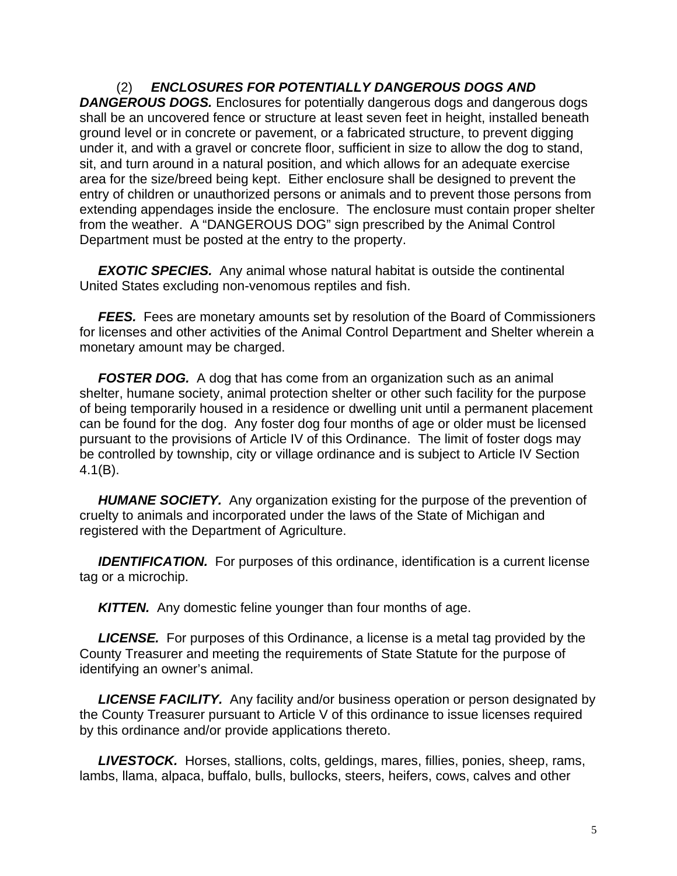(2) *ENCLOSURES FOR POTENTIALLY DANGEROUS DOGS AND DANGEROUS DOGS.* Enclosures for potentially dangerous dogs and dangerous dogs shall be an uncovered fence or structure at least seven feet in height, installed beneath ground level or in concrete or pavement, or a fabricated structure, to prevent digging under it, and with a gravel or concrete floor, sufficient in size to allow the dog to stand, sit, and turn around in a natural position, and which allows for an adequate exercise area for the size/breed being kept. Either enclosure shall be designed to prevent the entry of children or unauthorized persons or animals and to prevent those persons from extending appendages inside the enclosure. The enclosure must contain proper shelter from the weather. A "DANGEROUS DOG" sign prescribed by the Animal Control Department must be posted at the entry to the property.

**EXOTIC SPECIES.** Any animal whose natural habitat is outside the continental United States excluding non-venomous reptiles and fish.

**FEES.** Fees are monetary amounts set by resolution of the Board of Commissioners for licenses and other activities of the Animal Control Department and Shelter wherein a monetary amount may be charged.

**FOSTER DOG.** A dog that has come from an organization such as an animal shelter, humane society, animal protection shelter or other such facility for the purpose of being temporarily housed in a residence or dwelling unit until a permanent placement can be found for the dog. Any foster dog four months of age or older must be licensed pursuant to the provisions of Article IV of this Ordinance. The limit of foster dogs may be controlled by township, city or village ordinance and is subject to Article IV Section 4.1(B).

 *HUMANE SOCIETY.* Any organization existing for the purpose of the prevention of cruelty to animals and incorporated under the laws of the State of Michigan and registered with the Department of Agriculture.

**IDENTIFICATION.** For purposes of this ordinance, identification is a current license tag or a microchip.

**KITTEN.** Any domestic feline younger than four months of age.

 *LICENSE.* For purposes of this Ordinance, a license is a metal tag provided by the County Treasurer and meeting the requirements of State Statute for the purpose of identifying an owner's animal.

 *LICENSE FACILITY.* Any facility and/or business operation or person designated by the County Treasurer pursuant to Article V of this ordinance to issue licenses required by this ordinance and/or provide applications thereto.

 *LIVESTOCK.* Horses, stallions, colts, geldings, mares, fillies, ponies, sheep, rams, lambs, llama, alpaca, buffalo, bulls, bullocks, steers, heifers, cows, calves and other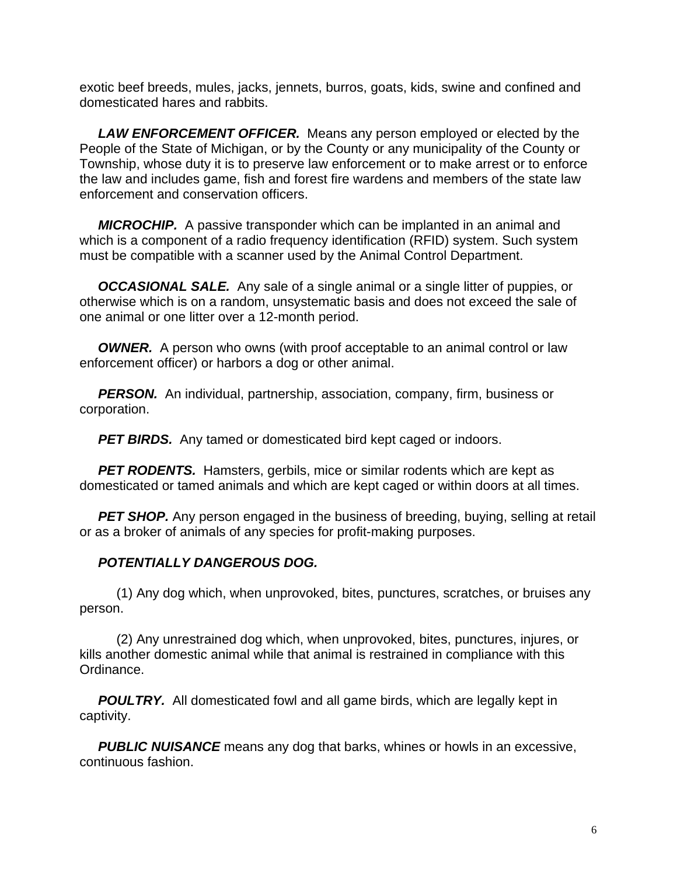exotic beef breeds, mules, jacks, jennets, burros, goats, kids, swine and confined and domesticated hares and rabbits.

 *LAW ENFORCEMENT OFFICER.* Means any person employed or elected by the People of the State of Michigan, or by the County or any municipality of the County or Township, whose duty it is to preserve law enforcement or to make arrest or to enforce the law and includes game, fish and forest fire wardens and members of the state law enforcement and conservation officers.

 *MICROCHIP.* A passive transponder which can be implanted in an animal and which is a component of a radio frequency identification (RFID) system. Such system must be compatible with a scanner used by the Animal Control Department.

 *OCCASIONAL SALE.* Any sale of a single animal or a single litter of puppies, or otherwise which is on a random, unsystematic basis and does not exceed the sale of one animal or one litter over a 12-month period.

**OWNER.** A person who owns (with proof acceptable to an animal control or law enforcement officer) or harbors a dog or other animal.

 *PERSON.* An individual, partnership, association, company, firm, business or corporation.

**PET BIRDS.** Any tamed or domesticated bird kept caged or indoors.

**PET RODENTS.** Hamsters, gerbils, mice or similar rodents which are kept as domesticated or tamed animals and which are kept caged or within doors at all times.

**PET SHOP.** Any person engaged in the business of breeding, buying, selling at retail or as a broker of animals of any species for profit-making purposes.

## *POTENTIALLY DANGEROUS DOG.*

 (1) Any dog which, when unprovoked, bites, punctures, scratches, or bruises any person.

 (2) Any unrestrained dog which, when unprovoked, bites, punctures, injures, or kills another domestic animal while that animal is restrained in compliance with this Ordinance.

**POULTRY.** All domesticated fowl and all game birds, which are legally kept in captivity.

**PUBLIC NUISANCE** means any dog that barks, whines or howls in an excessive, continuous fashion.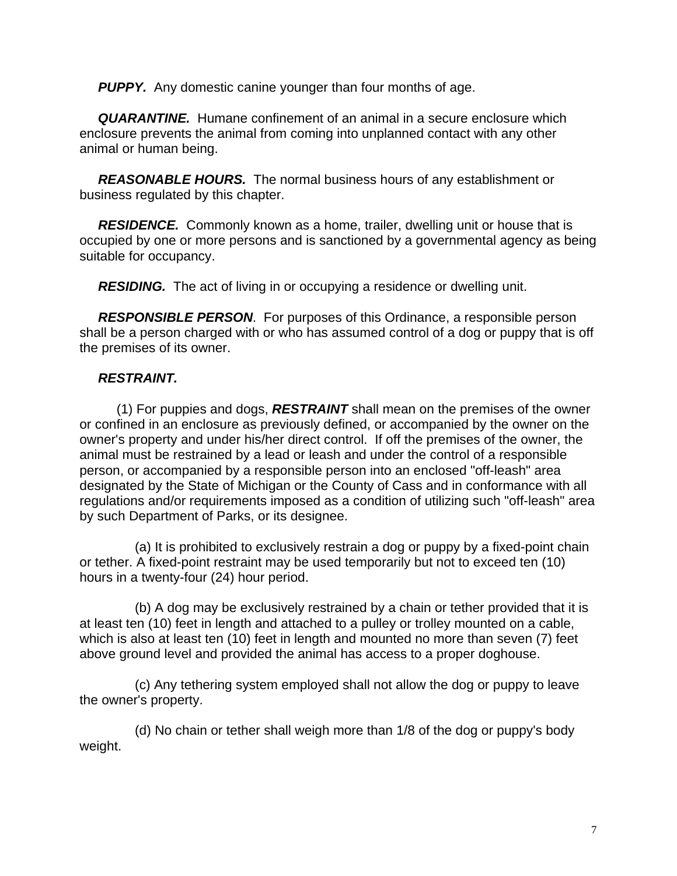**PUPPY.** Any domestic canine younger than four months of age.

 *QUARANTINE.* Humane confinement of an animal in a secure enclosure which enclosure prevents the animal from coming into unplanned contact with any other animal or human being.

 *REASONABLE HOURS.* The normal business hours of any establishment or business regulated by this chapter.

 *RESIDENCE.* Commonly known as a home, trailer, dwelling unit or house that is occupied by one or more persons and is sanctioned by a governmental agency as being suitable for occupancy.

*RESIDING.* The act of living in or occupying a residence or dwelling unit.

 *RESPONSIBLE PERSON*. For purposes of this Ordinance, a responsible person shall be a person charged with or who has assumed control of a dog or puppy that is off the premises of its owner.

# *RESTRAINT.*

 (1) For puppies and dogs, *RESTRAINT* shall mean on the premises of the owner or confined in an enclosure as previously defined, or accompanied by the owner on the owner's property and under his/her direct control. If off the premises of the owner, the animal must be restrained by a lead or leash and under the control of a responsible person, or accompanied by a responsible person into an enclosed "off-leash" area designated by the State of Michigan or the County of Cass and in conformance with all regulations and/or requirements imposed as a condition of utilizing such "off-leash" area by such Department of Parks, or its designee.

 (a) It is prohibited to exclusively restrain a dog or puppy by a fixed-point chain or tether. A fixed-point restraint may be used temporarily but not to exceed ten (10) hours in a twenty-four (24) hour period.

 (b) A dog may be exclusively restrained by a chain or tether provided that it is at least ten (10) feet in length and attached to a pulley or trolley mounted on a cable, which is also at least ten (10) feet in length and mounted no more than seven (7) feet above ground level and provided the animal has access to a proper doghouse.

 (c) Any tethering system employed shall not allow the dog or puppy to leave the owner's property.

 (d) No chain or tether shall weigh more than 1/8 of the dog or puppy's body weight.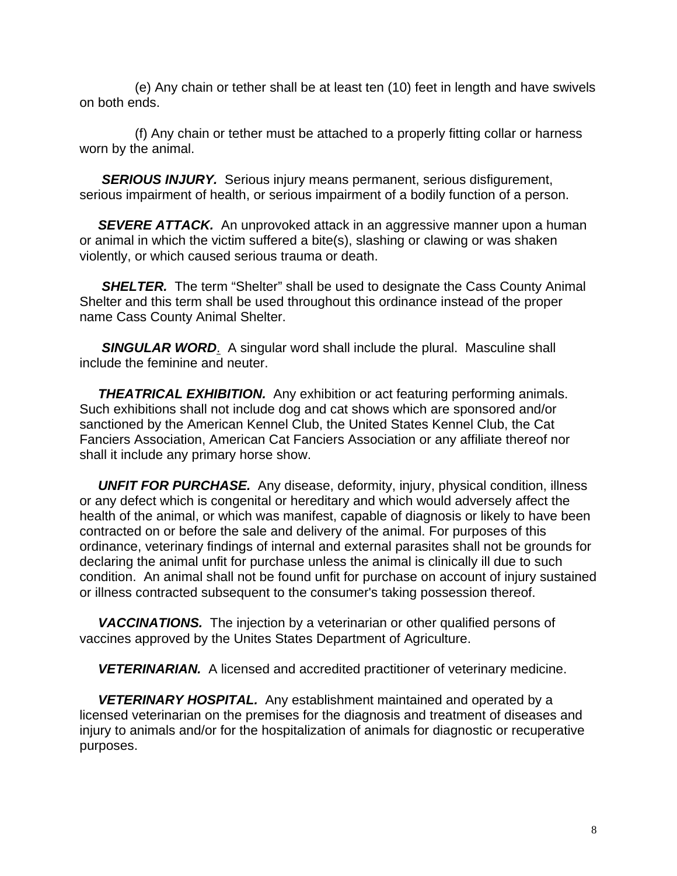(e) Any chain or tether shall be at least ten (10) feet in length and have swivels on both ends.

 (f) Any chain or tether must be attached to a properly fitting collar or harness worn by the animal.

 *SERIOUS INJURY.* Serious injury means permanent, serious disfigurement, serious impairment of health, or serious impairment of a bodily function of a person.

 *SEVERE ATTACK.* An unprovoked attack in an aggressive manner upon a human or animal in which the victim suffered a bite(s), slashing or clawing or was shaken violently, or which caused serious trauma or death.

**SHELTER.** The term "Shelter" shall be used to designate the Cass County Animal Shelter and this term shall be used throughout this ordinance instead of the proper name Cass County Animal Shelter.

**SINGULAR WORD.** A singular word shall include the plural. Masculine shall include the feminine and neuter.

**THEATRICAL EXHIBITION.** Any exhibition or act featuring performing animals. Such exhibitions shall not include dog and cat shows which are sponsored and/or sanctioned by the American Kennel Club, the United States Kennel Club, the Cat Fanciers Association, American Cat Fanciers Association or any affiliate thereof nor shall it include any primary horse show.

 *UNFIT FOR PURCHASE.* Any disease, deformity, injury, physical condition, illness or any defect which is congenital or hereditary and which would adversely affect the health of the animal, or which was manifest, capable of diagnosis or likely to have been contracted on or before the sale and delivery of the animal. For purposes of this ordinance, veterinary findings of internal and external parasites shall not be grounds for declaring the animal unfit for purchase unless the animal is clinically ill due to such condition. An animal shall not be found unfit for purchase on account of injury sustained or illness contracted subsequent to the consumer's taking possession thereof.

 *VACCINATIONS.* The injection by a veterinarian or other qualified persons of vaccines approved by the Unites States Department of Agriculture.

*VETERINARIAN.* A licensed and accredited practitioner of veterinary medicine.

 *VETERINARY HOSPITAL.* Any establishment maintained and operated by a licensed veterinarian on the premises for the diagnosis and treatment of diseases and injury to animals and/or for the hospitalization of animals for diagnostic or recuperative purposes.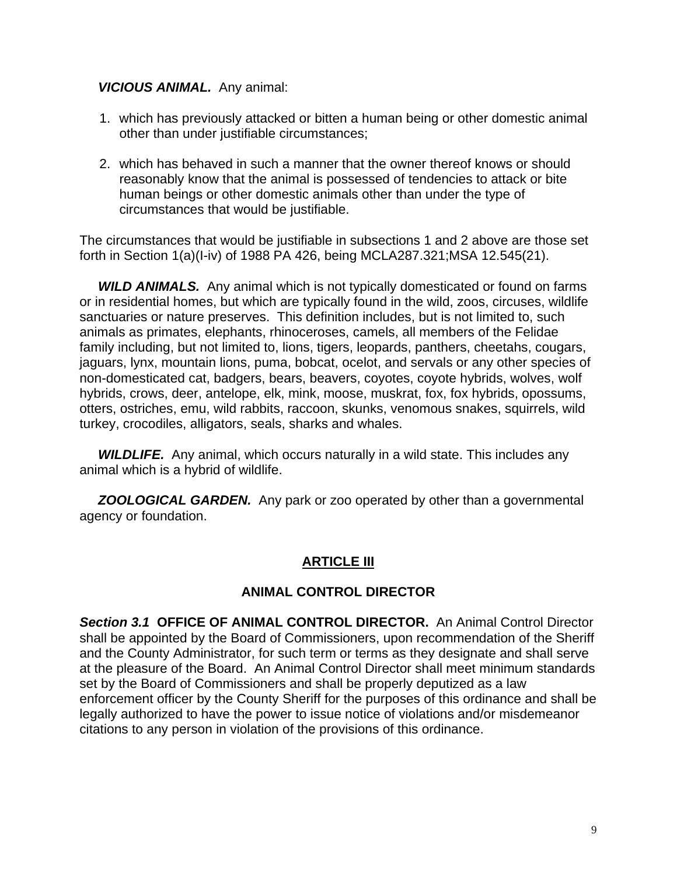## *VICIOUS ANIMAL.* Any animal:

- 1. which has previously attacked or bitten a human being or other domestic animal other than under justifiable circumstances;
- 2. which has behaved in such a manner that the owner thereof knows or should reasonably know that the animal is possessed of tendencies to attack or bite human beings or other domestic animals other than under the type of circumstances that would be justifiable.

The circumstances that would be justifiable in subsections 1 and 2 above are those set forth in Section 1(a)(I-iv) of 1988 PA 426, being MCLA287.321;MSA 12.545(21).

 *WILD ANIMALS.* Any animal which is not typically domesticated or found on farms or in residential homes, but which are typically found in the wild, zoos, circuses, wildlife sanctuaries or nature preserves. This definition includes, but is not limited to, such animals as primates, elephants, rhinoceroses, camels, all members of the Felidae family including, but not limited to, lions, tigers, leopards, panthers, cheetahs, cougars, jaguars, lynx, mountain lions, puma, bobcat, ocelot, and servals or any other species of non-domesticated cat, badgers, bears, beavers, coyotes, coyote hybrids, wolves, wolf hybrids, crows, deer, antelope, elk, mink, moose, muskrat, fox, fox hybrids, opossums, otters, ostriches, emu, wild rabbits, raccoon, skunks, venomous snakes, squirrels, wild turkey, crocodiles, alligators, seals, sharks and whales.

**WILDLIFE.** Any animal, which occurs naturally in a wild state. This includes any animal which is a hybrid of wildlife.

 *ZOOLOGICAL GARDEN.* Any park or zoo operated by other than a governmental agency or foundation.

## **ARTICLE III**

## **ANIMAL CONTROL DIRECTOR**

*Section 3.1* **OFFICE OF ANIMAL CONTROL DIRECTOR.** An Animal Control Director shall be appointed by the Board of Commissioners, upon recommendation of the Sheriff and the County Administrator, for such term or terms as they designate and shall serve at the pleasure of the Board. An Animal Control Director shall meet minimum standards set by the Board of Commissioners and shall be properly deputized as a law enforcement officer by the County Sheriff for the purposes of this ordinance and shall be legally authorized to have the power to issue notice of violations and/or misdemeanor citations to any person in violation of the provisions of this ordinance.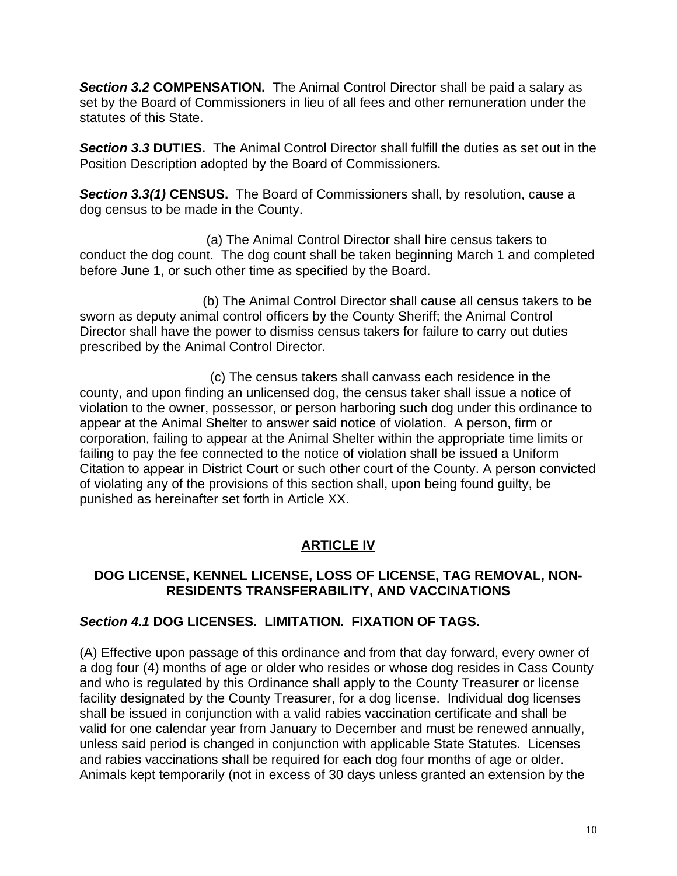*Section 3.2* **COMPENSATION.** The Animal Control Director shall be paid a salary as set by the Board of Commissioners in lieu of all fees and other remuneration under the statutes of this State.

*Section 3.3* **DUTIES.** The Animal Control Director shall fulfill the duties as set out in the Position Description adopted by the Board of Commissioners.

*Section 3.3(1)* **CENSUS.** The Board of Commissioners shall, by resolution, cause a dog census to be made in the County.

 (a) The Animal Control Director shall hire census takers to conduct the dog count. The dog count shall be taken beginning March 1 and completed before June 1, or such other time as specified by the Board.

 (b) The Animal Control Director shall cause all census takers to be sworn as deputy animal control officers by the County Sheriff; the Animal Control Director shall have the power to dismiss census takers for failure to carry out duties prescribed by the Animal Control Director.

 (c) The census takers shall canvass each residence in the county, and upon finding an unlicensed dog, the census taker shall issue a notice of violation to the owner, possessor, or person harboring such dog under this ordinance to appear at the Animal Shelter to answer said notice of violation. A person, firm or corporation, failing to appear at the Animal Shelter within the appropriate time limits or failing to pay the fee connected to the notice of violation shall be issued a Uniform Citation to appear in District Court or such other court of the County. A person convicted of violating any of the provisions of this section shall, upon being found guilty, be punished as hereinafter set forth in Article XX.

# **ARTICLE IV**

## **DOG LICENSE, KENNEL LICENSE, LOSS OF LICENSE, TAG REMOVAL, NON-RESIDENTS TRANSFERABILITY, AND VACCINATIONS**

## *Section 4.1* **DOG LICENSES. LIMITATION. FIXATION OF TAGS.**

(A) Effective upon passage of this ordinance and from that day forward, every owner of a dog four (4) months of age or older who resides or whose dog resides in Cass County and who is regulated by this Ordinance shall apply to the County Treasurer or license facility designated by the County Treasurer, for a dog license. Individual dog licenses shall be issued in conjunction with a valid rabies vaccination certificate and shall be valid for one calendar year from January to December and must be renewed annually, unless said period is changed in conjunction with applicable State Statutes. Licenses and rabies vaccinations shall be required for each dog four months of age or older. Animals kept temporarily (not in excess of 30 days unless granted an extension by the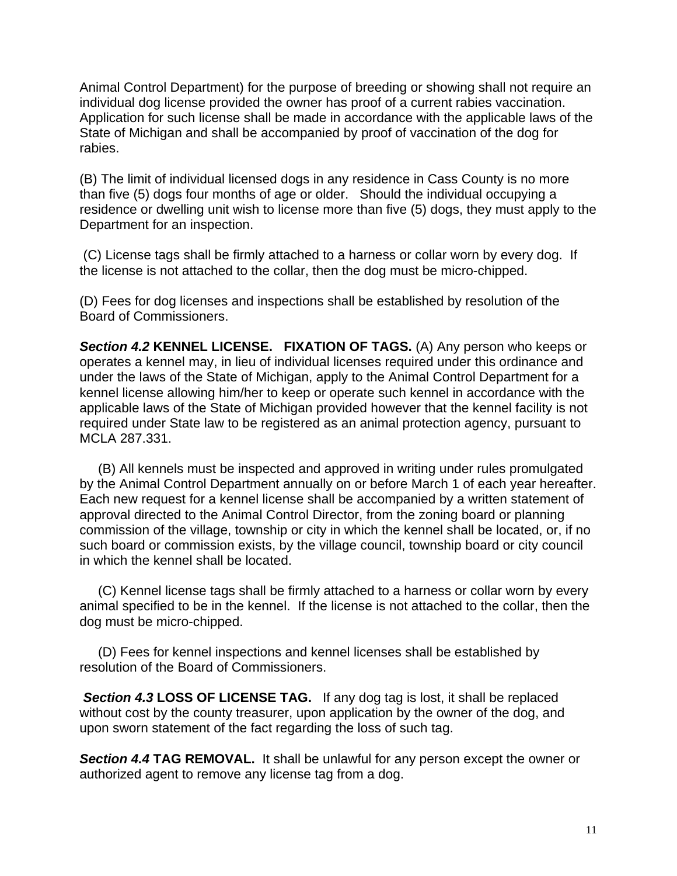Animal Control Department) for the purpose of breeding or showing shall not require an individual dog license provided the owner has proof of a current rabies vaccination. Application for such license shall be made in accordance with the applicable laws of the State of Michigan and shall be accompanied by proof of vaccination of the dog for rabies.

(B) The limit of individual licensed dogs in any residence in Cass County is no more than five (5) dogs four months of age or older. Should the individual occupying a residence or dwelling unit wish to license more than five (5) dogs, they must apply to the Department for an inspection.

 (C) License tags shall be firmly attached to a harness or collar worn by every dog. If the license is not attached to the collar, then the dog must be micro-chipped.

(D) Fees for dog licenses and inspections shall be established by resolution of the Board of Commissioners.

*Section 4.2* **KENNEL LICENSE. FIXATION OF TAGS.** (A) Any person who keeps or operates a kennel may, in lieu of individual licenses required under this ordinance and under the laws of the State of Michigan, apply to the Animal Control Department for a kennel license allowing him/her to keep or operate such kennel in accordance with the applicable laws of the State of Michigan provided however that the kennel facility is not required under State law to be registered as an animal protection agency, pursuant to MCLA 287.331.

 (B) All kennels must be inspected and approved in writing under rules promulgated by the Animal Control Department annually on or before March 1 of each year hereafter. Each new request for a kennel license shall be accompanied by a written statement of approval directed to the Animal Control Director, from the zoning board or planning commission of the village, township or city in which the kennel shall be located, or, if no such board or commission exists, by the village council, township board or city council in which the kennel shall be located.

 (C) Kennel license tags shall be firmly attached to a harness or collar worn by every animal specified to be in the kennel. If the license is not attached to the collar, then the dog must be micro-chipped.

 (D) Fees for kennel inspections and kennel licenses shall be established by resolution of the Board of Commissioners.

 *Section 4.3* **LOSS OF LICENSE TAG.** If any dog tag is lost, it shall be replaced without cost by the county treasurer, upon application by the owner of the dog, and upon sworn statement of the fact regarding the loss of such tag.

*Section 4.4* **TAG REMOVAL.** It shall be unlawful for any person except the owner or authorized agent to remove any license tag from a dog.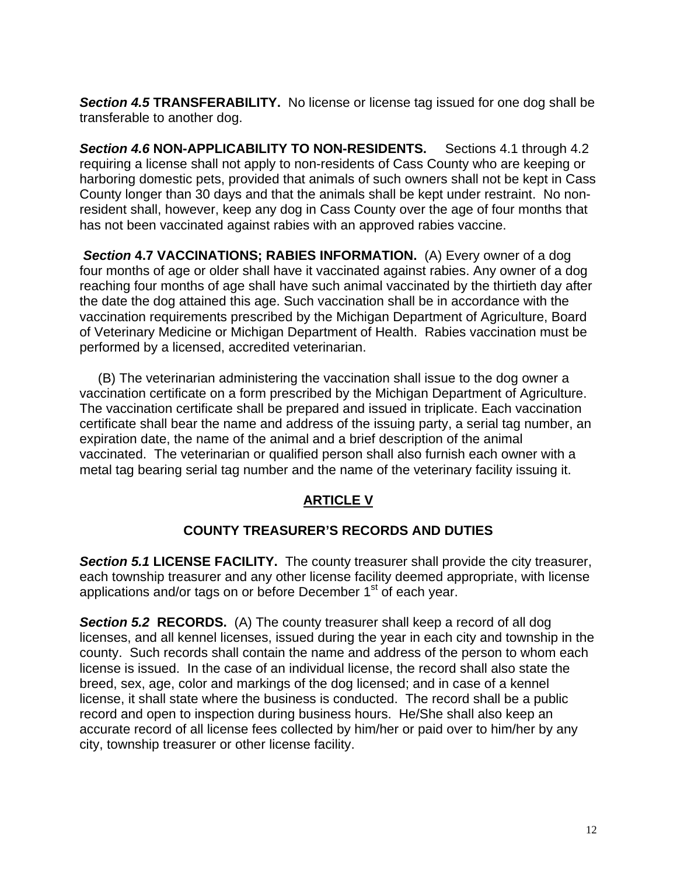*Section 4.5* **TRANSFERABILITY.** No license or license tag issued for one dog shall be transferable to another dog.

**Section 4.6 NON-APPLICABILITY TO NON-RESIDENTS.** Sections 4.1 through 4.2 requiring a license shall not apply to non-residents of Cass County who are keeping or harboring domestic pets, provided that animals of such owners shall not be kept in Cass County longer than 30 days and that the animals shall be kept under restraint. No nonresident shall, however, keep any dog in Cass County over the age of four months that has not been vaccinated against rabies with an approved rabies vaccine.

*Section* **4.7 VACCINATIONS; RABIES INFORMATION.** (A) Every owner of a dog four months of age or older shall have it vaccinated against rabies. Any owner of a dog reaching four months of age shall have such animal vaccinated by the thirtieth day after the date the dog attained this age. Such vaccination shall be in accordance with the vaccination requirements prescribed by the Michigan Department of Agriculture, Board of Veterinary Medicine or Michigan Department of Health. Rabies vaccination must be performed by a licensed, accredited veterinarian.

 (B) The veterinarian administering the vaccination shall issue to the dog owner a vaccination certificate on a form prescribed by the Michigan Department of Agriculture. The vaccination certificate shall be prepared and issued in triplicate. Each vaccination certificate shall bear the name and address of the issuing party, a serial tag number, an expiration date, the name of the animal and a brief description of the animal vaccinated. The veterinarian or qualified person shall also furnish each owner with a metal tag bearing serial tag number and the name of the veterinary facility issuing it.

# **ARTICLE V**

## **COUNTY TREASURER'S RECORDS AND DUTIES**

*Section 5.1* **LICENSE FACILITY.** The county treasurer shall provide the city treasurer, each township treasurer and any other license facility deemed appropriate, with license applications and/or tags on or before December 1<sup>st</sup> of each year.

*Section 5.2* **RECORDS.** (A) The county treasurer shall keep a record of all dog licenses, and all kennel licenses, issued during the year in each city and township in the county. Such records shall contain the name and address of the person to whom each license is issued. In the case of an individual license, the record shall also state the breed, sex, age, color and markings of the dog licensed; and in case of a kennel license, it shall state where the business is conducted. The record shall be a public record and open to inspection during business hours. He/She shall also keep an accurate record of all license fees collected by him/her or paid over to him/her by any city, township treasurer or other license facility.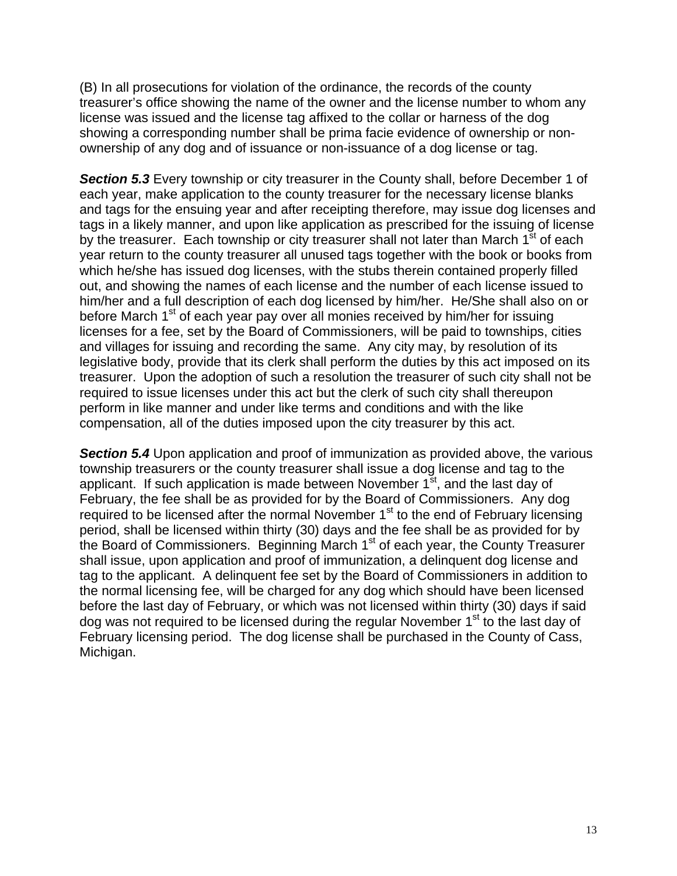(B) In all prosecutions for violation of the ordinance, the records of the county treasurer's office showing the name of the owner and the license number to whom any license was issued and the license tag affixed to the collar or harness of the dog showing a corresponding number shall be prima facie evidence of ownership or nonownership of any dog and of issuance or non-issuance of a dog license or tag.

*Section 5.3* Every township or city treasurer in the County shall, before December 1 of each year, make application to the county treasurer for the necessary license blanks and tags for the ensuing year and after receipting therefore, may issue dog licenses and tags in a likely manner, and upon like application as prescribed for the issuing of license by the treasurer. Each township or city treasurer shall not later than March 1<sup>st</sup> of each year return to the county treasurer all unused tags together with the book or books from which he/she has issued dog licenses, with the stubs therein contained properly filled out, and showing the names of each license and the number of each license issued to him/her and a full description of each dog licensed by him/her. He/She shall also on or before March 1<sup>st</sup> of each year pay over all monies received by him/her for issuing licenses for a fee, set by the Board of Commissioners, will be paid to townships, cities and villages for issuing and recording the same. Any city may, by resolution of its legislative body, provide that its clerk shall perform the duties by this act imposed on its treasurer. Upon the adoption of such a resolution the treasurer of such city shall not be required to issue licenses under this act but the clerk of such city shall thereupon perform in like manner and under like terms and conditions and with the like compensation, all of the duties imposed upon the city treasurer by this act.

*Section 5.4* Upon application and proof of immunization as provided above, the various township treasurers or the county treasurer shall issue a dog license and tag to the applicant. If such application is made between November  $1<sup>st</sup>$ , and the last day of February, the fee shall be as provided for by the Board of Commissioners. Any dog required to be licensed after the normal November 1<sup>st</sup> to the end of February licensing period, shall be licensed within thirty (30) days and the fee shall be as provided for by the Board of Commissioners. Beginning March 1<sup>st</sup> of each year, the County Treasurer shall issue, upon application and proof of immunization, a delinquent dog license and tag to the applicant. A delinquent fee set by the Board of Commissioners in addition to the normal licensing fee, will be charged for any dog which should have been licensed before the last day of February, or which was not licensed within thirty (30) days if said dog was not required to be licensed during the regular November 1<sup>st</sup> to the last day of February licensing period. The dog license shall be purchased in the County of Cass, Michigan.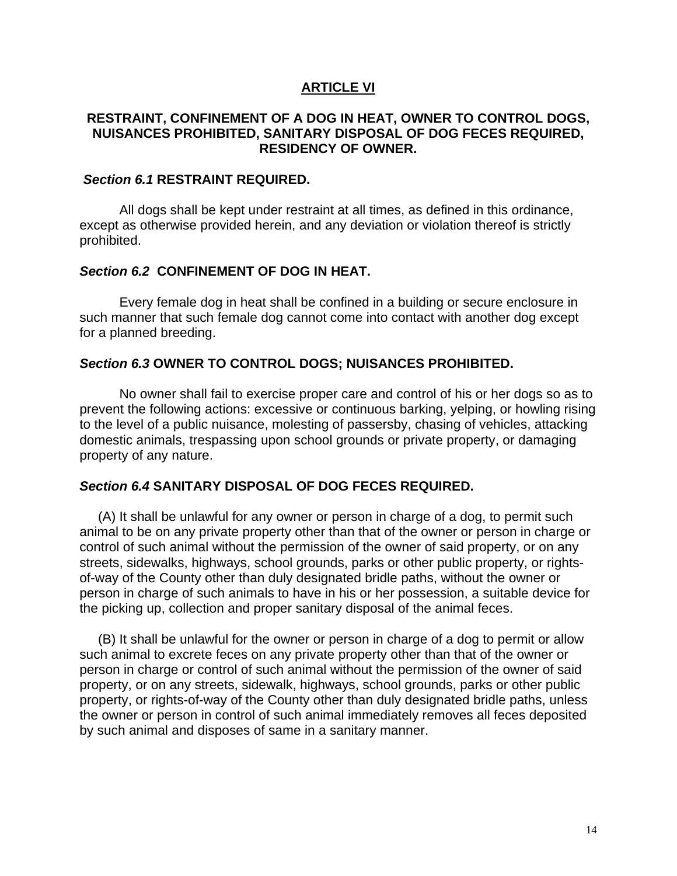### **ARTICLE VI**

### **RESTRAINT, CONFINEMENT OF A DOG IN HEAT, OWNER TO CONTROL DOGS, NUISANCES PROHIBITED, SANITARY DISPOSAL OF DOG FECES REQUIRED, RESIDENCY OF OWNER.**

#### *Section 6.1* **RESTRAINT REQUIRED.**

All dogs shall be kept under restraint at all times, as defined in this ordinance, except as otherwise provided herein, and any deviation or violation thereof is strictly prohibited.

#### *Section 6.2* **CONFINEMENT OF DOG IN HEAT.**

Every female dog in heat shall be confined in a building or secure enclosure in such manner that such female dog cannot come into contact with another dog except for a planned breeding.

#### *Section 6.3* **OWNER TO CONTROL DOGS; NUISANCES PROHIBITED.**

No owner shall fail to exercise proper care and control of his or her dogs so as to prevent the following actions: excessive or continuous barking, yelping, or howling rising to the level of a public nuisance, molesting of passersby, chasing of vehicles, attacking domestic animals, trespassing upon school grounds or private property, or damaging property of any nature.

#### *Section 6.4* **SANITARY DISPOSAL OF DOG FECES REQUIRED.**

 (A) It shall be unlawful for any owner or person in charge of a dog, to permit such animal to be on any private property other than that of the owner or person in charge or control of such animal without the permission of the owner of said property, or on any streets, sidewalks, highways, school grounds, parks or other public property, or rightsof-way of the County other than duly designated bridle paths, without the owner or person in charge of such animals to have in his or her possession, a suitable device for the picking up, collection and proper sanitary disposal of the animal feces.

 (B) It shall be unlawful for the owner or person in charge of a dog to permit or allow such animal to excrete feces on any private property other than that of the owner or person in charge or control of such animal without the permission of the owner of said property, or on any streets, sidewalk, highways, school grounds, parks or other public property, or rights-of-way of the County other than duly designated bridle paths, unless the owner or person in control of such animal immediately removes all feces deposited by such animal and disposes of same in a sanitary manner.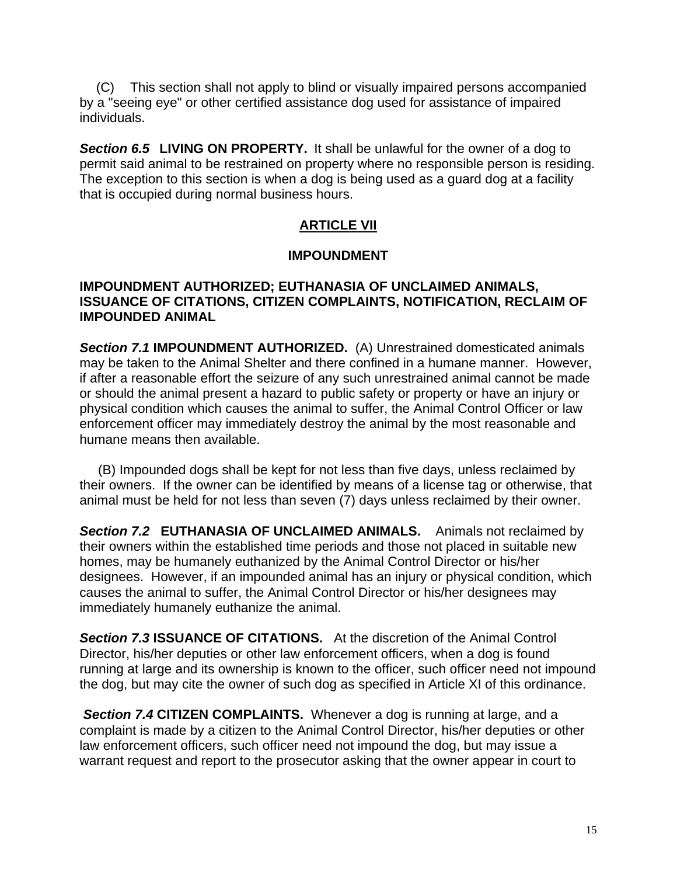(C) This section shall not apply to blind or visually impaired persons accompanied by a "seeing eye" or other certified assistance dog used for assistance of impaired individuals.

*Section 6.5* **LIVING ON PROPERTY.** It shall be unlawful for the owner of a dog to permit said animal to be restrained on property where no responsible person is residing. The exception to this section is when a dog is being used as a guard dog at a facility that is occupied during normal business hours.

# **ARTICLE VII**

## **IMPOUNDMENT**

## **IMPOUNDMENT AUTHORIZED; EUTHANASIA OF UNCLAIMED ANIMALS, ISSUANCE OF CITATIONS, CITIZEN COMPLAINTS, NOTIFICATION, RECLAIM OF IMPOUNDED ANIMAL**

*Section 7.1* **IMPOUNDMENT AUTHORIZED.** (A) Unrestrained domesticated animals may be taken to the Animal Shelter and there confined in a humane manner. However, if after a reasonable effort the seizure of any such unrestrained animal cannot be made or should the animal present a hazard to public safety or property or have an injury or physical condition which causes the animal to suffer, the Animal Control Officer or law enforcement officer may immediately destroy the animal by the most reasonable and humane means then available.

 (B) Impounded dogs shall be kept for not less than five days, unless reclaimed by their owners. If the owner can be identified by means of a license tag or otherwise, that animal must be held for not less than seven (7) days unless reclaimed by their owner.

*Section 7.2* **EUTHANASIA OF UNCLAIMED ANIMALS.** Animals not reclaimed by their owners within the established time periods and those not placed in suitable new homes, may be humanely euthanized by the Animal Control Director or his/her designees. However, if an impounded animal has an injury or physical condition, which causes the animal to suffer, the Animal Control Director or his/her designees may immediately humanely euthanize the animal.

*Section 7.3* **ISSUANCE OF CITATIONS.** At the discretion of the Animal Control Director, his/her deputies or other law enforcement officers, when a dog is found running at large and its ownership is known to the officer, such officer need not impound the dog, but may cite the owner of such dog as specified in Article XI of this ordinance.

 *Section 7.4* **CITIZEN COMPLAINTS.** Whenever a dog is running at large, and a complaint is made by a citizen to the Animal Control Director, his/her deputies or other law enforcement officers, such officer need not impound the dog, but may issue a warrant request and report to the prosecutor asking that the owner appear in court to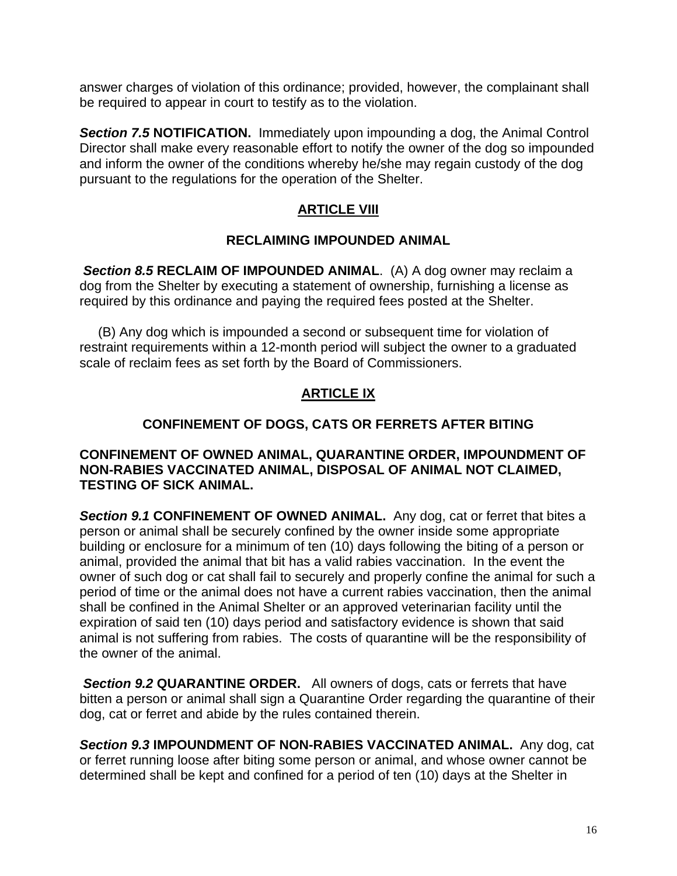answer charges of violation of this ordinance; provided, however, the complainant shall be required to appear in court to testify as to the violation.

*Section 7.5* **NOTIFICATION.** Immediately upon impounding a dog, the Animal Control Director shall make every reasonable effort to notify the owner of the dog so impounded and inform the owner of the conditions whereby he/she may regain custody of the dog pursuant to the regulations for the operation of the Shelter.

# **ARTICLE VIII**

## **RECLAIMING IMPOUNDED ANIMAL**

*Section 8.5* **RECLAIM OF IMPOUNDED ANIMAL**. (A) A dog owner may reclaim a dog from the Shelter by executing a statement of ownership, furnishing a license as required by this ordinance and paying the required fees posted at the Shelter.

 (B) Any dog which is impounded a second or subsequent time for violation of restraint requirements within a 12-month period will subject the owner to a graduated scale of reclaim fees as set forth by the Board of Commissioners.

# **ARTICLE IX**

# **CONFINEMENT OF DOGS, CATS OR FERRETS AFTER BITING**

## **CONFINEMENT OF OWNED ANIMAL, QUARANTINE ORDER, IMPOUNDMENT OF NON-RABIES VACCINATED ANIMAL, DISPOSAL OF ANIMAL NOT CLAIMED, TESTING OF SICK ANIMAL.**

*Section 9.1* **CONFINEMENT OF OWNED ANIMAL.** Any dog, cat or ferret that bites a person or animal shall be securely confined by the owner inside some appropriate building or enclosure for a minimum of ten (10) days following the biting of a person or animal, provided the animal that bit has a valid rabies vaccination. In the event the owner of such dog or cat shall fail to securely and properly confine the animal for such a period of time or the animal does not have a current rabies vaccination, then the animal shall be confined in the Animal Shelter or an approved veterinarian facility until the expiration of said ten (10) days period and satisfactory evidence is shown that said animal is not suffering from rabies. The costs of quarantine will be the responsibility of the owner of the animal.

*Section 9.2* **QUARANTINE ORDER.** All owners of dogs, cats or ferrets that have bitten a person or animal shall sign a Quarantine Order regarding the quarantine of their dog, cat or ferret and abide by the rules contained therein.

*Section 9.3* **IMPOUNDMENT OF NON-RABIES VACCINATED ANIMAL.** Any dog, cat or ferret running loose after biting some person or animal, and whose owner cannot be determined shall be kept and confined for a period of ten (10) days at the Shelter in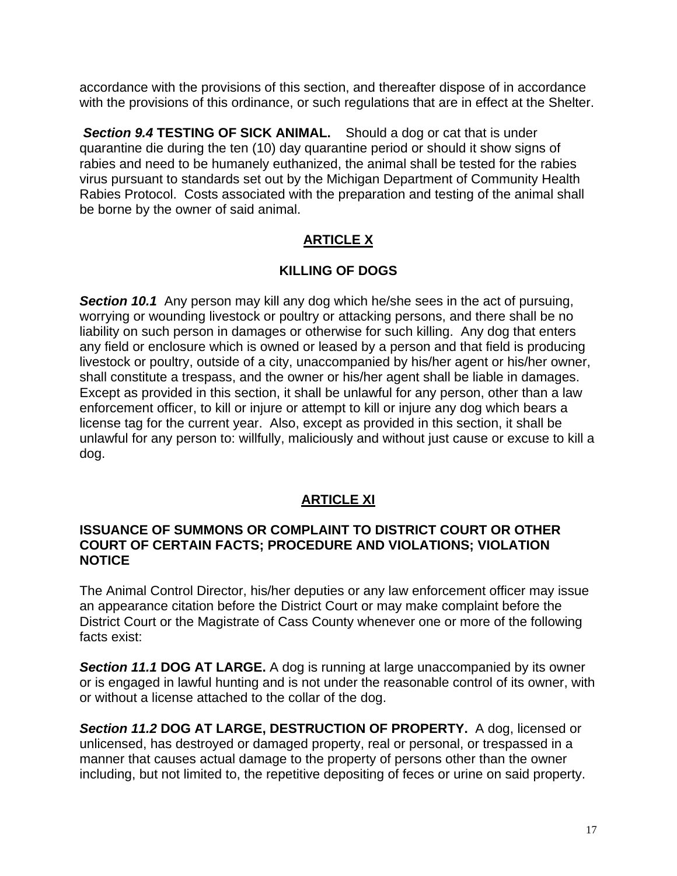accordance with the provisions of this section, and thereafter dispose of in accordance with the provisions of this ordinance, or such regulations that are in effect at the Shelter.

*Section 9.4* **TESTING OF SICK ANIMAL.** Should a dog or cat that is under quarantine die during the ten (10) day quarantine period or should it show signs of rabies and need to be humanely euthanized, the animal shall be tested for the rabies virus pursuant to standards set out by the Michigan Department of Community Health Rabies Protocol. Costs associated with the preparation and testing of the animal shall be borne by the owner of said animal.

# **ARTICLE X**

# **KILLING OF DOGS**

**Section 10.1** Any person may kill any dog which he/she sees in the act of pursuing, worrying or wounding livestock or poultry or attacking persons, and there shall be no liability on such person in damages or otherwise for such killing. Any dog that enters any field or enclosure which is owned or leased by a person and that field is producing livestock or poultry, outside of a city, unaccompanied by his/her agent or his/her owner, shall constitute a trespass, and the owner or his/her agent shall be liable in damages. Except as provided in this section, it shall be unlawful for any person, other than a law enforcement officer, to kill or injure or attempt to kill or injure any dog which bears a license tag for the current year. Also, except as provided in this section, it shall be unlawful for any person to: willfully, maliciously and without just cause or excuse to kill a dog.

# **ARTICLE XI**

## **ISSUANCE OF SUMMONS OR COMPLAINT TO DISTRICT COURT OR OTHER COURT OF CERTAIN FACTS; PROCEDURE AND VIOLATIONS; VIOLATION NOTICE**

The Animal Control Director, his/her deputies or any law enforcement officer may issue an appearance citation before the District Court or may make complaint before the District Court or the Magistrate of Cass County whenever one or more of the following facts exist:

**Section 11.1 DOG AT LARGE.** A dog is running at large unaccompanied by its owner or is engaged in lawful hunting and is not under the reasonable control of its owner, with or without a license attached to the collar of the dog.

*Section 11.2* **DOG AT LARGE, DESTRUCTION OF PROPERTY.** A dog, licensed or unlicensed, has destroyed or damaged property, real or personal, or trespassed in a manner that causes actual damage to the property of persons other than the owner including, but not limited to, the repetitive depositing of feces or urine on said property.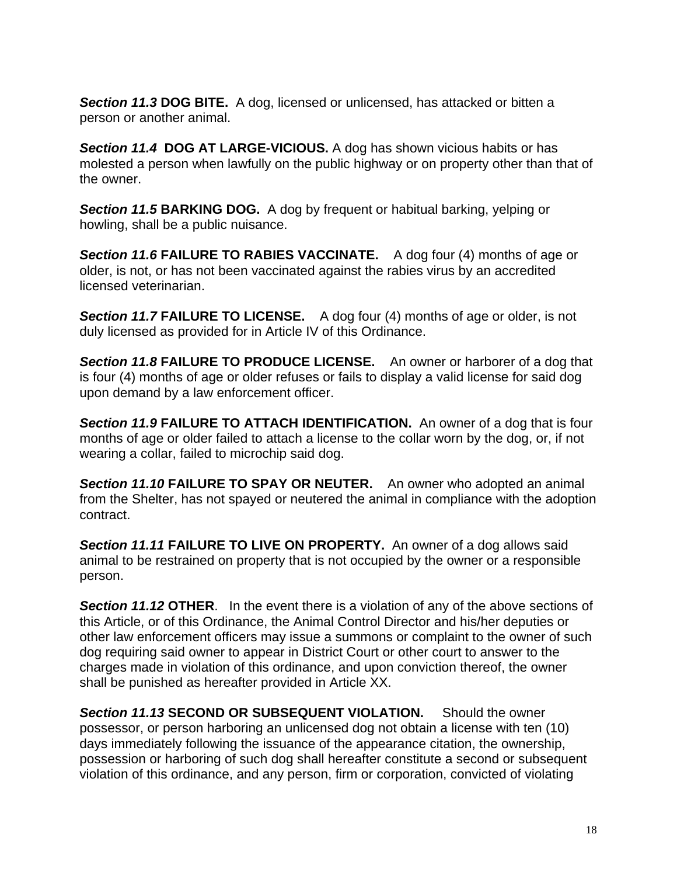*Section 11.3* **DOG BITE.** A dog, licensed or unlicensed, has attacked or bitten a person or another animal.

*Section 11.4* **DOG AT LARGE-VICIOUS.** A dog has shown vicious habits or has molested a person when lawfully on the public highway or on property other than that of the owner.

*Section 11.5* **BARKING DOG.** A dog by frequent or habitual barking, yelping or howling, shall be a public nuisance.

*Section 11.6* **FAILURE TO RABIES VACCINATE.** A dog four (4) months of age or older, is not, or has not been vaccinated against the rabies virus by an accredited licensed veterinarian.

*Section 11.7* **FAILURE TO LICENSE.**A dog four (4) months of age or older, is not duly licensed as provided for in Article IV of this Ordinance.

*Section 11.8* **FAILURE TO PRODUCE LICENSE.** An owner or harborer of a dog that is four (4) months of age or older refuses or fails to display a valid license for said dog upon demand by a law enforcement officer.

**Section 11.9 FAILURE TO ATTACH IDENTIFICATION.** An owner of a dog that is four months of age or older failed to attach a license to the collar worn by the dog, or, if not wearing a collar, failed to microchip said dog.

*Section 11.10* **FAILURE TO SPAY OR NEUTER.** An owner who adopted an animal from the Shelter, has not spayed or neutered the animal in compliance with the adoption contract.

**Section 11.11 FAILURE TO LIVE ON PROPERTY.** An owner of a dog allows said animal to be restrained on property that is not occupied by the owner or a responsible person.

*Section 11.12* **OTHER**. In the event there is a violation of any of the above sections of this Article, or of this Ordinance, the Animal Control Director and his/her deputies or other law enforcement officers may issue a summons or complaint to the owner of such dog requiring said owner to appear in District Court or other court to answer to the charges made in violation of this ordinance, and upon conviction thereof, the owner shall be punished as hereafter provided in Article XX.

*Section 11.13* **SECOND OR SUBSEQUENT VIOLATION.** Should the owner possessor, or person harboring an unlicensed dog not obtain a license with ten (10) days immediately following the issuance of the appearance citation, the ownership, possession or harboring of such dog shall hereafter constitute a second or subsequent violation of this ordinance, and any person, firm or corporation, convicted of violating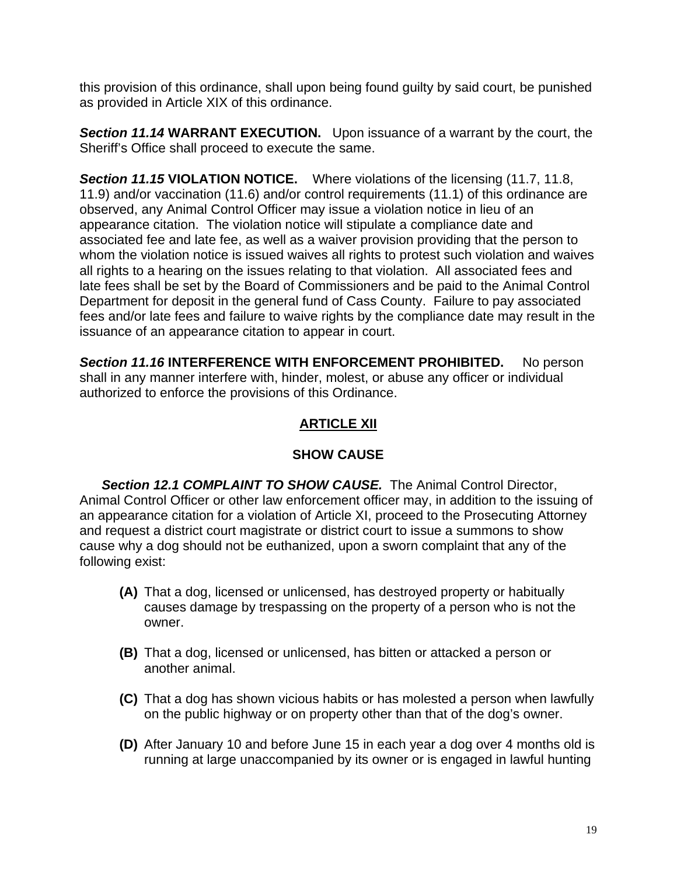this provision of this ordinance, shall upon being found guilty by said court, be punished as provided in Article XIX of this ordinance.

*Section 11.14* **WARRANT EXECUTION.** Upon issuance of a warrant by the court, the Sheriff's Office shall proceed to execute the same.

*Section 11.15* **VIOLATION NOTICE.** Where violations of the licensing (11.7, 11.8, 11.9) and/or vaccination (11.6) and/or control requirements (11.1) of this ordinance are observed, any Animal Control Officer may issue a violation notice in lieu of an appearance citation. The violation notice will stipulate a compliance date and associated fee and late fee, as well as a waiver provision providing that the person to whom the violation notice is issued waives all rights to protest such violation and waives all rights to a hearing on the issues relating to that violation. All associated fees and late fees shall be set by the Board of Commissioners and be paid to the Animal Control Department for deposit in the general fund of Cass County. Failure to pay associated fees and/or late fees and failure to waive rights by the compliance date may result in the issuance of an appearance citation to appear in court.

*Section 11.16* **INTERFERENCE WITH ENFORCEMENT PROHIBITED.** No person shall in any manner interfere with, hinder, molest, or abuse any officer or individual authorized to enforce the provisions of this Ordinance.

# **ARTICLE XII**

# **SHOW CAUSE**

 *Section 12.1 COMPLAINT TO SHOW CAUSE.* The Animal Control Director, Animal Control Officer or other law enforcement officer may, in addition to the issuing of an appearance citation for a violation of Article XI, proceed to the Prosecuting Attorney and request a district court magistrate or district court to issue a summons to show cause why a dog should not be euthanized, upon a sworn complaint that any of the following exist:

- **(A)** That a dog, licensed or unlicensed, has destroyed property or habitually causes damage by trespassing on the property of a person who is not the owner.
- **(B)** That a dog, licensed or unlicensed, has bitten or attacked a person or another animal.
- **(C)** That a dog has shown vicious habits or has molested a person when lawfully on the public highway or on property other than that of the dog's owner.
- **(D)** After January 10 and before June 15 in each year a dog over 4 months old is running at large unaccompanied by its owner or is engaged in lawful hunting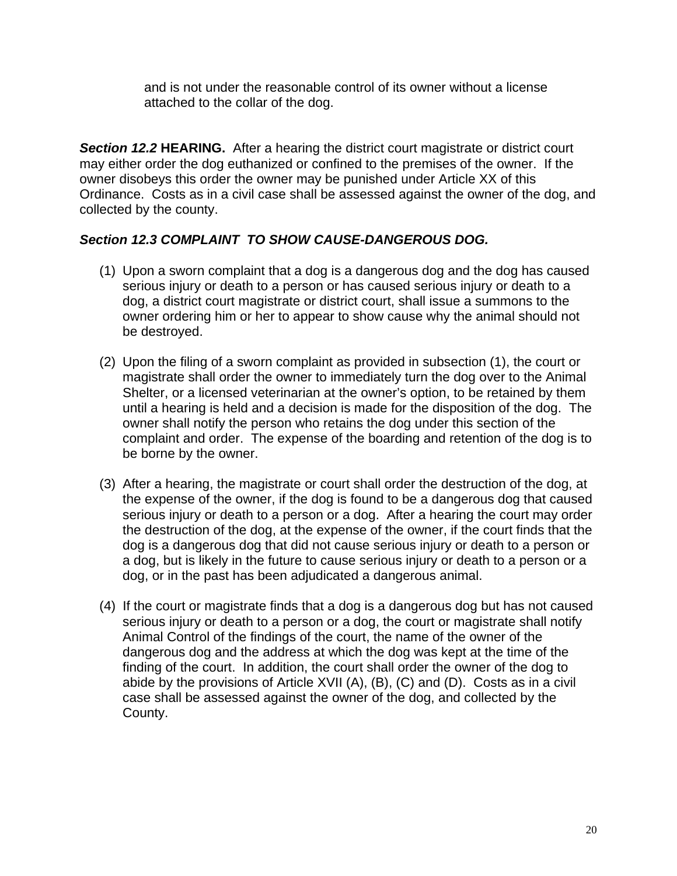and is not under the reasonable control of its owner without a license attached to the collar of the dog.

**Section 12.2 <b>HEARING.** After a hearing the district court magistrate or district court may either order the dog euthanized or confined to the premises of the owner. If the owner disobeys this order the owner may be punished under Article XX of this Ordinance. Costs as in a civil case shall be assessed against the owner of the dog, and collected by the county.

## *Section 12.3 COMPLAINT TO SHOW CAUSE-DANGEROUS DOG.*

- (1) Upon a sworn complaint that a dog is a dangerous dog and the dog has caused serious injury or death to a person or has caused serious injury or death to a dog, a district court magistrate or district court, shall issue a summons to the owner ordering him or her to appear to show cause why the animal should not be destroyed.
- (2) Upon the filing of a sworn complaint as provided in subsection (1), the court or magistrate shall order the owner to immediately turn the dog over to the Animal Shelter, or a licensed veterinarian at the owner's option, to be retained by them until a hearing is held and a decision is made for the disposition of the dog. The owner shall notify the person who retains the dog under this section of the complaint and order. The expense of the boarding and retention of the dog is to be borne by the owner.
- (3) After a hearing, the magistrate or court shall order the destruction of the dog, at the expense of the owner, if the dog is found to be a dangerous dog that caused serious injury or death to a person or a dog. After a hearing the court may order the destruction of the dog, at the expense of the owner, if the court finds that the dog is a dangerous dog that did not cause serious injury or death to a person or a dog, but is likely in the future to cause serious injury or death to a person or a dog, or in the past has been adjudicated a dangerous animal.
- (4) If the court or magistrate finds that a dog is a dangerous dog but has not caused serious injury or death to a person or a dog, the court or magistrate shall notify Animal Control of the findings of the court, the name of the owner of the dangerous dog and the address at which the dog was kept at the time of the finding of the court. In addition, the court shall order the owner of the dog to abide by the provisions of Article XVII (A), (B), (C) and (D). Costs as in a civil case shall be assessed against the owner of the dog, and collected by the County.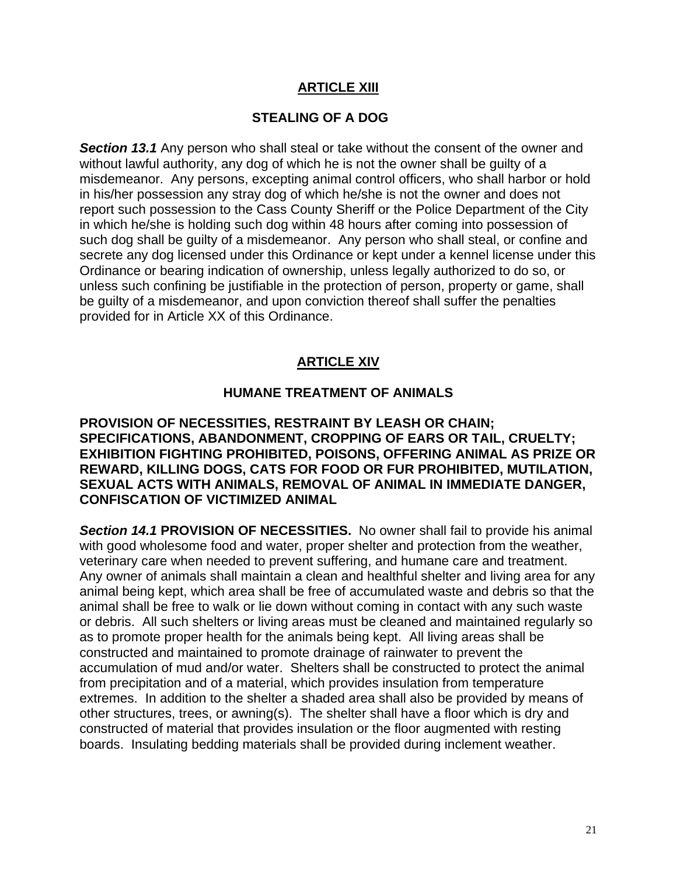## **ARTICLE XIII**

## **STEALING OF A DOG**

**Section 13.1** Any person who shall steal or take without the consent of the owner and without lawful authority, any dog of which he is not the owner shall be guilty of a misdemeanor. Any persons, excepting animal control officers, who shall harbor or hold in his/her possession any stray dog of which he/she is not the owner and does not report such possession to the Cass County Sheriff or the Police Department of the City in which he/she is holding such dog within 48 hours after coming into possession of such dog shall be guilty of a misdemeanor. Any person who shall steal, or confine and secrete any dog licensed under this Ordinance or kept under a kennel license under this Ordinance or bearing indication of ownership, unless legally authorized to do so, or unless such confining be justifiable in the protection of person, property or game, shall be guilty of a misdemeanor, and upon conviction thereof shall suffer the penalties provided for in Article XX of this Ordinance.

## **ARTICLE XIV**

### **HUMANE TREATMENT OF ANIMALS**

**PROVISION OF NECESSITIES, RESTRAINT BY LEASH OR CHAIN; SPECIFICATIONS, ABANDONMENT, CROPPING OF EARS OR TAIL, CRUELTY; EXHIBITION FIGHTING PROHIBITED, POISONS, OFFERING ANIMAL AS PRIZE OR REWARD, KILLING DOGS, CATS FOR FOOD OR FUR PROHIBITED, MUTILATION, SEXUAL ACTS WITH ANIMALS, REMOVAL OF ANIMAL IN IMMEDIATE DANGER, CONFISCATION OF VICTIMIZED ANIMAL** 

*Section 14.1* **PROVISION OF NECESSITIES.** No owner shall fail to provide his animal with good wholesome food and water, proper shelter and protection from the weather, veterinary care when needed to prevent suffering, and humane care and treatment. Any owner of animals shall maintain a clean and healthful shelter and living area for any animal being kept, which area shall be free of accumulated waste and debris so that the animal shall be free to walk or lie down without coming in contact with any such waste or debris. All such shelters or living areas must be cleaned and maintained regularly so as to promote proper health for the animals being kept. All living areas shall be constructed and maintained to promote drainage of rainwater to prevent the accumulation of mud and/or water. Shelters shall be constructed to protect the animal from precipitation and of a material, which provides insulation from temperature extremes. In addition to the shelter a shaded area shall also be provided by means of other structures, trees, or awning(s). The shelter shall have a floor which is dry and constructed of material that provides insulation or the floor augmented with resting boards. Insulating bedding materials shall be provided during inclement weather.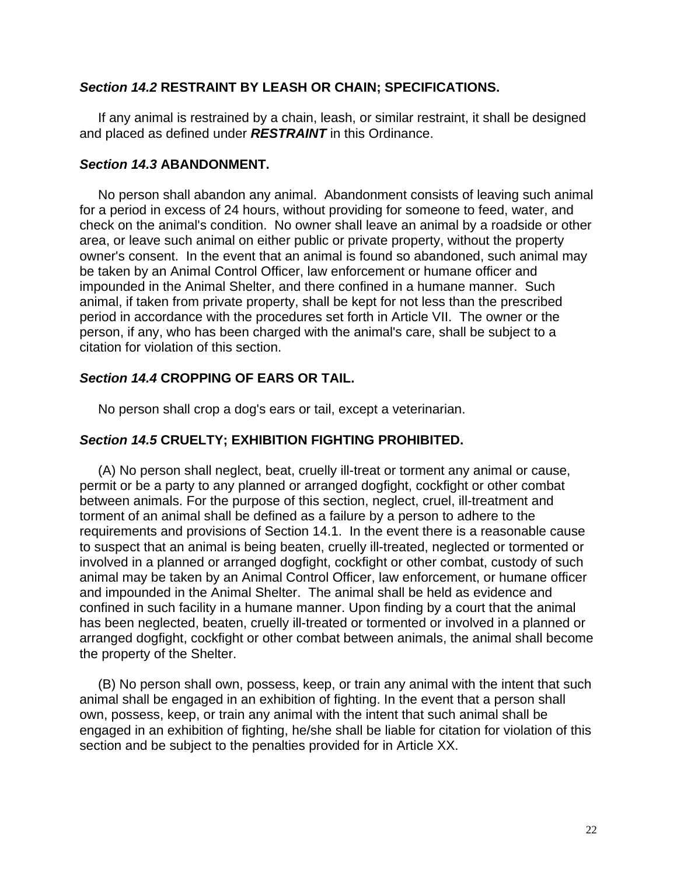### *Section 14.2* **RESTRAINT BY LEASH OR CHAIN; SPECIFICATIONS.**

 If any animal is restrained by a chain, leash, or similar restraint, it shall be designed and placed as defined under *RESTRAINT* in this Ordinance.

### *Section 14.3* **ABANDONMENT.**

 No person shall abandon any animal. Abandonment consists of leaving such animal for a period in excess of 24 hours, without providing for someone to feed, water, and check on the animal's condition. No owner shall leave an animal by a roadside or other area, or leave such animal on either public or private property, without the property owner's consent. In the event that an animal is found so abandoned, such animal may be taken by an Animal Control Officer, law enforcement or humane officer and impounded in the Animal Shelter, and there confined in a humane manner. Such animal, if taken from private property, shall be kept for not less than the prescribed period in accordance with the procedures set forth in Article VII. The owner or the person, if any, who has been charged with the animal's care, shall be subject to a citation for violation of this section.

## *Section 14.4* **CROPPING OF EARS OR TAIL.**

No person shall crop a dog's ears or tail, except a veterinarian.

## *Section 14.5* **CRUELTY; EXHIBITION FIGHTING PROHIBITED.**

 (A) No person shall neglect, beat, cruelly ill-treat or torment any animal or cause, permit or be a party to any planned or arranged dogfight, cockfight or other combat between animals. For the purpose of this section, neglect, cruel, ill-treatment and torment of an animal shall be defined as a failure by a person to adhere to the requirements and provisions of Section 14.1. In the event there is a reasonable cause to suspect that an animal is being beaten, cruelly ill-treated, neglected or tormented or involved in a planned or arranged dogfight, cockfight or other combat, custody of such animal may be taken by an Animal Control Officer, law enforcement, or humane officer and impounded in the Animal Shelter. The animal shall be held as evidence and confined in such facility in a humane manner. Upon finding by a court that the animal has been neglected, beaten, cruelly ill-treated or tormented or involved in a planned or arranged dogfight, cockfight or other combat between animals, the animal shall become the property of the Shelter.

 (B) No person shall own, possess, keep, or train any animal with the intent that such animal shall be engaged in an exhibition of fighting. In the event that a person shall own, possess, keep, or train any animal with the intent that such animal shall be engaged in an exhibition of fighting, he/she shall be liable for citation for violation of this section and be subject to the penalties provided for in Article XX.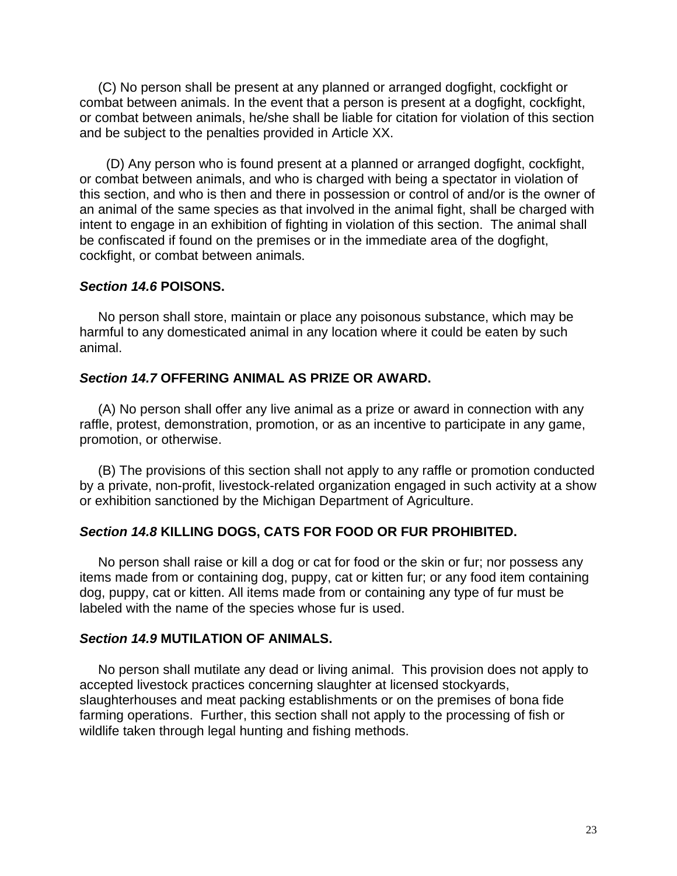(C) No person shall be present at any planned or arranged dogfight, cockfight or combat between animals. In the event that a person is present at a dogfight, cockfight, or combat between animals, he/she shall be liable for citation for violation of this section and be subject to the penalties provided in Article XX.

 (D) Any person who is found present at a planned or arranged dogfight, cockfight, or combat between animals, and who is charged with being a spectator in violation of this section, and who is then and there in possession or control of and/or is the owner of an animal of the same species as that involved in the animal fight, shall be charged with intent to engage in an exhibition of fighting in violation of this section. The animal shall be confiscated if found on the premises or in the immediate area of the dogfight, cockfight, or combat between animals.

#### *Section 14.6* **POISONS.**

 No person shall store, maintain or place any poisonous substance, which may be harmful to any domesticated animal in any location where it could be eaten by such animal.

### *Section 14.7* **OFFERING ANIMAL AS PRIZE OR AWARD.**

 (A) No person shall offer any live animal as a prize or award in connection with any raffle, protest, demonstration, promotion, or as an incentive to participate in any game, promotion, or otherwise.

 (B) The provisions of this section shall not apply to any raffle or promotion conducted by a private, non-profit, livestock-related organization engaged in such activity at a show or exhibition sanctioned by the Michigan Department of Agriculture.

#### *Section 14.8* **KILLING DOGS, CATS FOR FOOD OR FUR PROHIBITED.**

 No person shall raise or kill a dog or cat for food or the skin or fur; nor possess any items made from or containing dog, puppy, cat or kitten fur; or any food item containing dog, puppy, cat or kitten. All items made from or containing any type of fur must be labeled with the name of the species whose fur is used.

### *Section 14.9* **MUTILATION OF ANIMALS.**

 No person shall mutilate any dead or living animal. This provision does not apply to accepted livestock practices concerning slaughter at licensed stockyards, slaughterhouses and meat packing establishments or on the premises of bona fide farming operations. Further, this section shall not apply to the processing of fish or wildlife taken through legal hunting and fishing methods.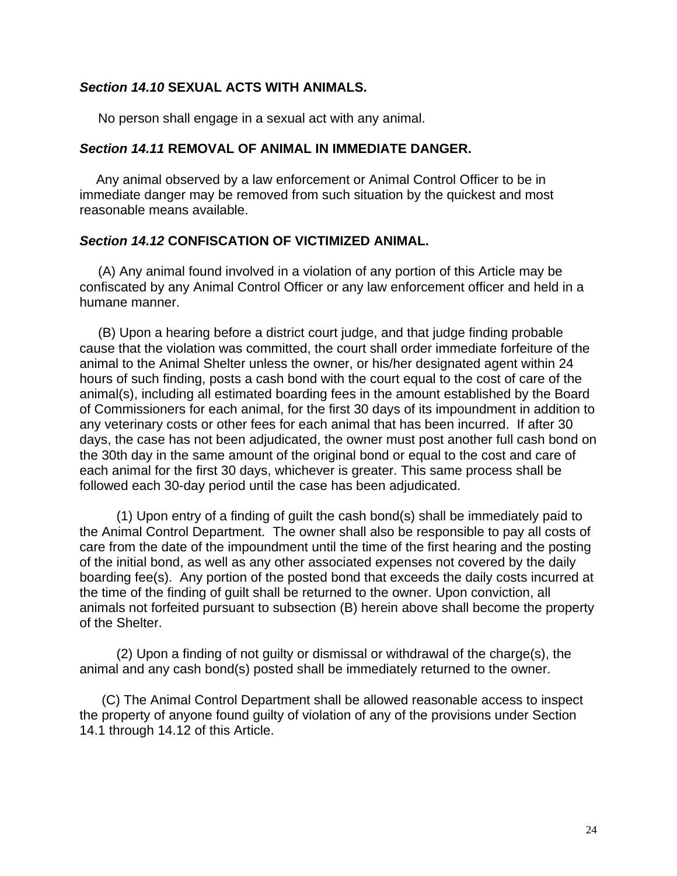## *Section 14.10* **SEXUAL ACTS WITH ANIMALS.**

No person shall engage in a sexual act with any animal.

### *Section 14.11* **REMOVAL OF ANIMAL IN IMMEDIATE DANGER.**

 Any animal observed by a law enforcement or Animal Control Officer to be in immediate danger may be removed from such situation by the quickest and most reasonable means available.

### *Section 14.12* **CONFISCATION OF VICTIMIZED ANIMAL.**

 (A) Any animal found involved in a violation of any portion of this Article may be confiscated by any Animal Control Officer or any law enforcement officer and held in a humane manner.

 (B) Upon a hearing before a district court judge, and that judge finding probable cause that the violation was committed, the court shall order immediate forfeiture of the animal to the Animal Shelter unless the owner, or his/her designated agent within 24 hours of such finding, posts a cash bond with the court equal to the cost of care of the animal(s), including all estimated boarding fees in the amount established by the Board of Commissioners for each animal, for the first 30 days of its impoundment in addition to any veterinary costs or other fees for each animal that has been incurred. If after 30 days, the case has not been adjudicated, the owner must post another full cash bond on the 30th day in the same amount of the original bond or equal to the cost and care of each animal for the first 30 days, whichever is greater. This same process shall be followed each 30-day period until the case has been adjudicated.

 (1) Upon entry of a finding of guilt the cash bond(s) shall be immediately paid to the Animal Control Department. The owner shall also be responsible to pay all costs of care from the date of the impoundment until the time of the first hearing and the posting of the initial bond, as well as any other associated expenses not covered by the daily boarding fee(s). Any portion of the posted bond that exceeds the daily costs incurred at the time of the finding of guilt shall be returned to the owner. Upon conviction, all animals not forfeited pursuant to subsection (B) herein above shall become the property of the Shelter.

 (2) Upon a finding of not guilty or dismissal or withdrawal of the charge(s), the animal and any cash bond(s) posted shall be immediately returned to the owner.

 (C) The Animal Control Department shall be allowed reasonable access to inspect the property of anyone found guilty of violation of any of the provisions under Section 14.1 through 14.12 of this Article.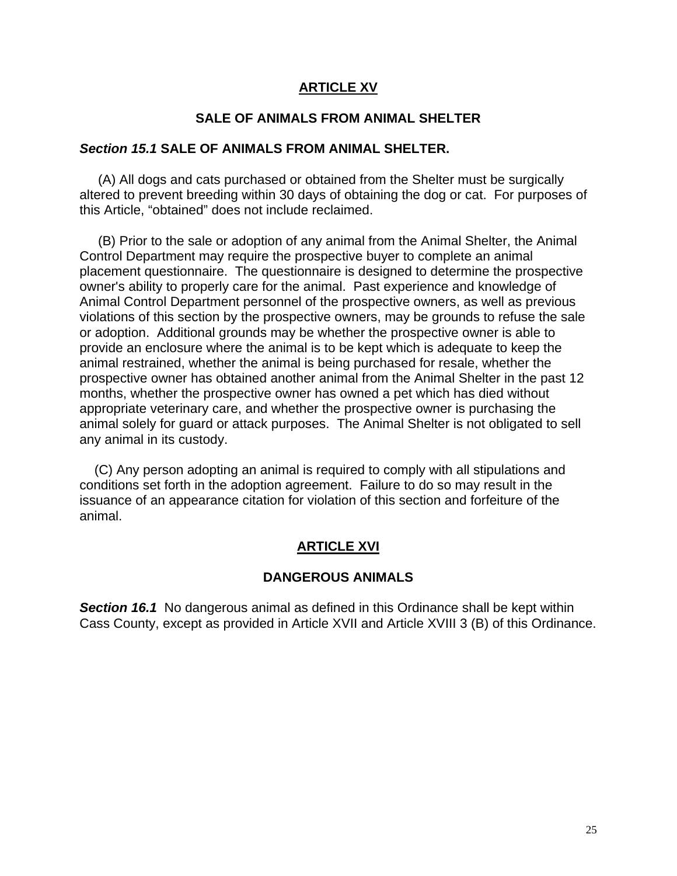### **ARTICLE XV**

#### **SALE OF ANIMALS FROM ANIMAL SHELTER**

#### *Section 15.1* **SALE OF ANIMALS FROM ANIMAL SHELTER.**

 (A) All dogs and cats purchased or obtained from the Shelter must be surgically altered to prevent breeding within 30 days of obtaining the dog or cat. For purposes of this Article, "obtained" does not include reclaimed.

 (B) Prior to the sale or adoption of any animal from the Animal Shelter, the Animal Control Department may require the prospective buyer to complete an animal placement questionnaire. The questionnaire is designed to determine the prospective owner's ability to properly care for the animal. Past experience and knowledge of Animal Control Department personnel of the prospective owners, as well as previous violations of this section by the prospective owners, may be grounds to refuse the sale or adoption. Additional grounds may be whether the prospective owner is able to provide an enclosure where the animal is to be kept which is adequate to keep the animal restrained, whether the animal is being purchased for resale, whether the prospective owner has obtained another animal from the Animal Shelter in the past 12 months, whether the prospective owner has owned a pet which has died without appropriate veterinary care, and whether the prospective owner is purchasing the animal solely for guard or attack purposes. The Animal Shelter is not obligated to sell any animal in its custody.

 (C) Any person adopting an animal is required to comply with all stipulations and conditions set forth in the adoption agreement. Failure to do so may result in the issuance of an appearance citation for violation of this section and forfeiture of the animal.

### **ARTICLE XVI**

#### **DANGEROUS ANIMALS**

**Section 16.1** No dangerous animal as defined in this Ordinance shall be kept within Cass County, except as provided in Article XVII and Article XVIII 3 (B) of this Ordinance.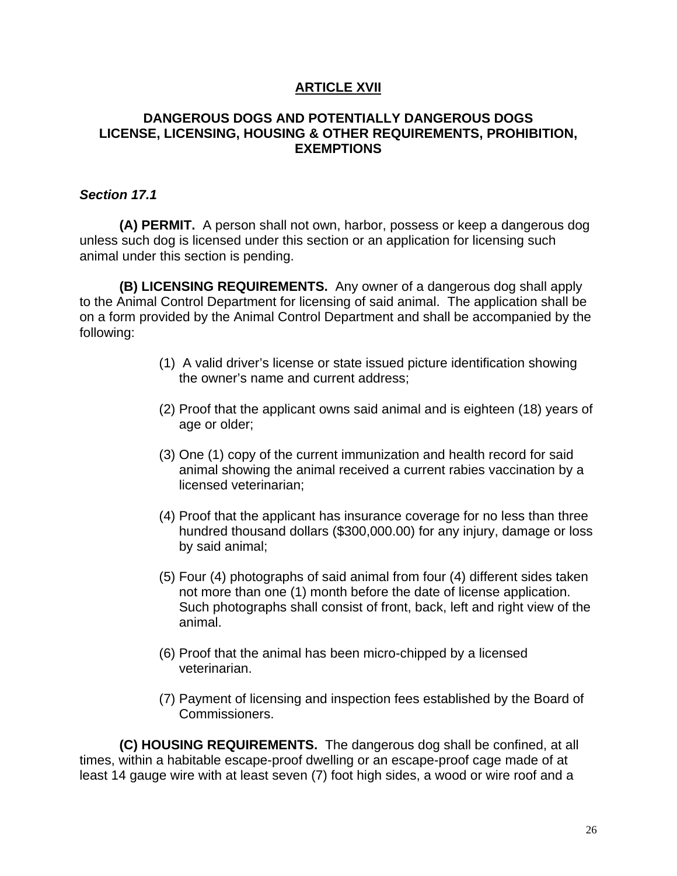## **ARTICLE XVII**

## **DANGEROUS DOGS AND POTENTIALLY DANGEROUS DOGS LICENSE, LICENSING, HOUSING & OTHER REQUIREMENTS, PROHIBITION, EXEMPTIONS**

## *Section 17.1*

**(A) PERMIT.** A person shall not own, harbor, possess or keep a dangerous dog unless such dog is licensed under this section or an application for licensing such animal under this section is pending.

**(B) LICENSING REQUIREMENTS.** Any owner of a dangerous dog shall apply to the Animal Control Department for licensing of said animal. The application shall be on a form provided by the Animal Control Department and shall be accompanied by the following:

- (1) A valid driver's license or state issued picture identification showing the owner's name and current address;
- (2) Proof that the applicant owns said animal and is eighteen (18) years of age or older;
- (3) One (1) copy of the current immunization and health record for said animal showing the animal received a current rabies vaccination by a licensed veterinarian;
- (4) Proof that the applicant has insurance coverage for no less than three hundred thousand dollars (\$300,000.00) for any injury, damage or loss by said animal;
- (5) Four (4) photographs of said animal from four (4) different sides taken not more than one (1) month before the date of license application. Such photographs shall consist of front, back, left and right view of the animal.
- (6) Proof that the animal has been micro-chipped by a licensed veterinarian.
- (7) Payment of licensing and inspection fees established by the Board of Commissioners.

**(C) HOUSING REQUIREMENTS.** The dangerous dog shall be confined, at all times, within a habitable escape-proof dwelling or an escape-proof cage made of at least 14 gauge wire with at least seven (7) foot high sides, a wood or wire roof and a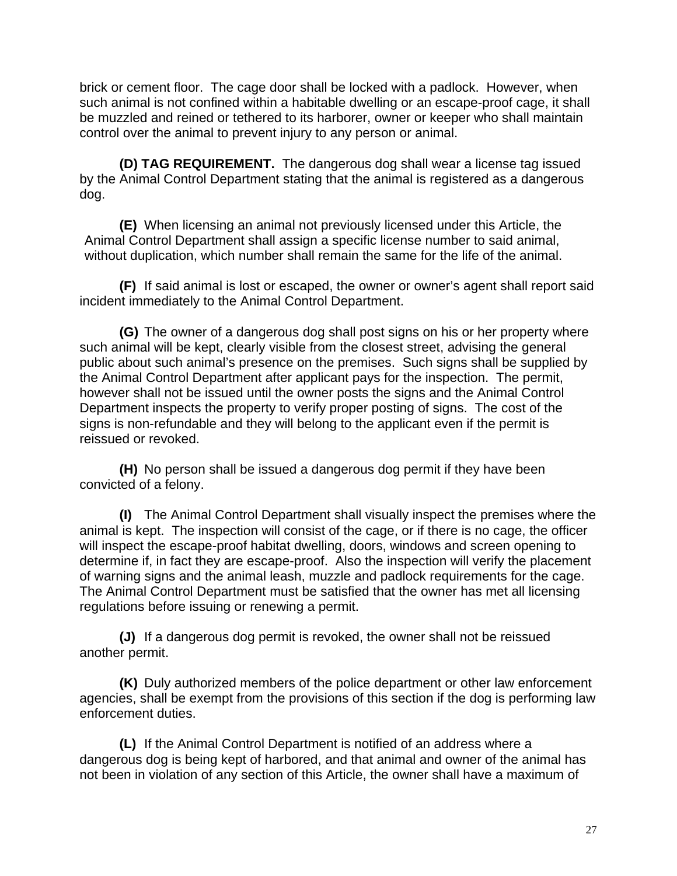brick or cement floor. The cage door shall be locked with a padlock. However, when such animal is not confined within a habitable dwelling or an escape-proof cage, it shall be muzzled and reined or tethered to its harborer, owner or keeper who shall maintain control over the animal to prevent injury to any person or animal.

**(D) TAG REQUIREMENT.** The dangerous dog shall wear a license tag issued by the Animal Control Department stating that the animal is registered as a dangerous dog.

**(E)** When licensing an animal not previously licensed under this Article, the Animal Control Department shall assign a specific license number to said animal, without duplication, which number shall remain the same for the life of the animal.

**(F)** If said animal is lost or escaped, the owner or owner's agent shall report said incident immediately to the Animal Control Department.

**(G)** The owner of a dangerous dog shall post signs on his or her property where such animal will be kept, clearly visible from the closest street, advising the general public about such animal's presence on the premises. Such signs shall be supplied by the Animal Control Department after applicant pays for the inspection. The permit, however shall not be issued until the owner posts the signs and the Animal Control Department inspects the property to verify proper posting of signs. The cost of the signs is non-refundable and they will belong to the applicant even if the permit is reissued or revoked.

**(H)** No person shall be issued a dangerous dog permit if they have been convicted of a felony.

**(I)** The Animal Control Department shall visually inspect the premises where the animal is kept. The inspection will consist of the cage, or if there is no cage, the officer will inspect the escape-proof habitat dwelling, doors, windows and screen opening to determine if, in fact they are escape-proof. Also the inspection will verify the placement of warning signs and the animal leash, muzzle and padlock requirements for the cage. The Animal Control Department must be satisfied that the owner has met all licensing regulations before issuing or renewing a permit.

**(J)** If a dangerous dog permit is revoked, the owner shall not be reissued another permit.

**(K)** Duly authorized members of the police department or other law enforcement agencies, shall be exempt from the provisions of this section if the dog is performing law enforcement duties.

**(L)** If the Animal Control Department is notified of an address where a dangerous dog is being kept of harbored, and that animal and owner of the animal has not been in violation of any section of this Article, the owner shall have a maximum of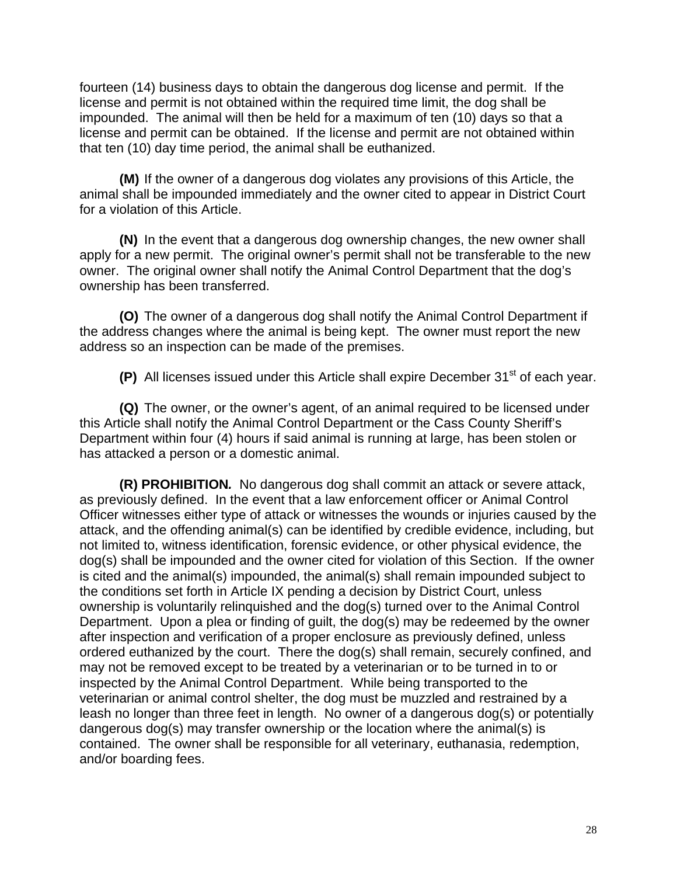fourteen (14) business days to obtain the dangerous dog license and permit. If the license and permit is not obtained within the required time limit, the dog shall be impounded. The animal will then be held for a maximum of ten (10) days so that a license and permit can be obtained. If the license and permit are not obtained within that ten (10) day time period, the animal shall be euthanized.

**(M)** If the owner of a dangerous dog violates any provisions of this Article, the animal shall be impounded immediately and the owner cited to appear in District Court for a violation of this Article.

**(N)** In the event that a dangerous dog ownership changes, the new owner shall apply for a new permit. The original owner's permit shall not be transferable to the new owner. The original owner shall notify the Animal Control Department that the dog's ownership has been transferred.

**(O)** The owner of a dangerous dog shall notify the Animal Control Department if the address changes where the animal is being kept. The owner must report the new address so an inspection can be made of the premises.

**(P)** All licenses issued under this Article shall expire December 31<sup>st</sup> of each year.

**(Q)** The owner, or the owner's agent, of an animal required to be licensed under this Article shall notify the Animal Control Department or the Cass County Sheriff's Department within four (4) hours if said animal is running at large, has been stolen or has attacked a person or a domestic animal.

 **(R) PROHIBITION***.*No dangerous dog shall commit an attack or severe attack, as previously defined. In the event that a law enforcement officer or Animal Control Officer witnesses either type of attack or witnesses the wounds or injuries caused by the attack, and the offending animal(s) can be identified by credible evidence, including, but not limited to, witness identification, forensic evidence, or other physical evidence, the dog(s) shall be impounded and the owner cited for violation of this Section. If the owner is cited and the animal(s) impounded, the animal(s) shall remain impounded subject to the conditions set forth in Article IX pending a decision by District Court, unless ownership is voluntarily relinquished and the dog(s) turned over to the Animal Control Department. Upon a plea or finding of guilt, the dog(s) may be redeemed by the owner after inspection and verification of a proper enclosure as previously defined, unless ordered euthanized by the court. There the dog(s) shall remain, securely confined, and may not be removed except to be treated by a veterinarian or to be turned in to or inspected by the Animal Control Department. While being transported to the veterinarian or animal control shelter, the dog must be muzzled and restrained by a leash no longer than three feet in length. No owner of a dangerous dog(s) or potentially dangerous dog(s) may transfer ownership or the location where the animal(s) is contained. The owner shall be responsible for all veterinary, euthanasia, redemption, and/or boarding fees.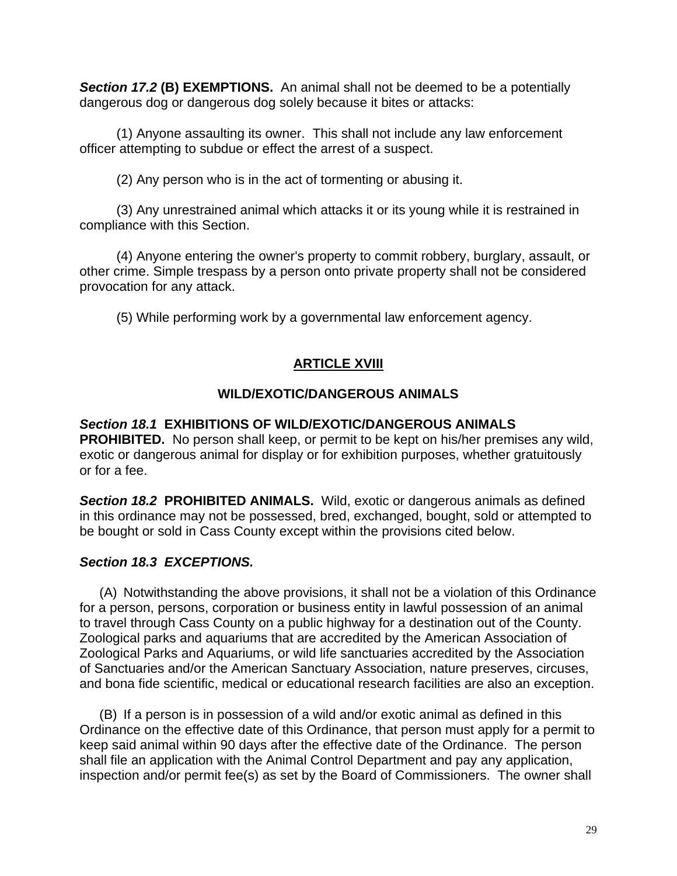*Section 17.2* **(B) EXEMPTIONS.** An animal shall not be deemed to be a potentially dangerous dog or dangerous dog solely because it bites or attacks:

 (1) Anyone assaulting its owner. This shall not include any law enforcement officer attempting to subdue or effect the arrest of a suspect.

(2) Any person who is in the act of tormenting or abusing it.

 (3) Any unrestrained animal which attacks it or its young while it is restrained in compliance with this Section.

 (4) Anyone entering the owner's property to commit robbery, burglary, assault, or other crime. Simple trespass by a person onto private property shall not be considered provocation for any attack.

(5) While performing work by a governmental law enforcement agency.

# **ARTICLE XVIII**

## **WILD/EXOTIC/DANGEROUS ANIMALS**

## *Section 18.1* **EXHIBITIONS OF WILD/EXOTIC/DANGEROUS ANIMALS**

**PROHIBITED.**No person shall keep, or permit to be kept on his/her premises any wild, exotic or dangerous animal for display or for exhibition purposes, whether gratuitously or for a fee.

*Section 18.2* **PROHIBITED ANIMALS.** Wild, exotic or dangerous animals as defined in this ordinance may not be possessed, bred, exchanged, bought, sold or attempted to be bought or sold in Cass County except within the provisions cited below.

## *Section 18.3 EXCEPTIONS.*

(A) Notwithstanding the above provisions, it shall not be a violation of this Ordinance for a person, persons, corporation or business entity in lawful possession of an animal to travel through Cass County on a public highway for a destination out of the County. Zoological parks and aquariums that are accredited by the American Association of Zoological Parks and Aquariums, or wild life sanctuaries accredited by the Association of Sanctuaries and/or the American Sanctuary Association, nature preserves, circuses, and bona fide scientific, medical or educational research facilities are also an exception.

(B) If a person is in possession of a wild and/or exotic animal as defined in this Ordinance on the effective date of this Ordinance, that person must apply for a permit to keep said animal within 90 days after the effective date of the Ordinance. The person shall file an application with the Animal Control Department and pay any application, inspection and/or permit fee(s) as set by the Board of Commissioners. The owner shall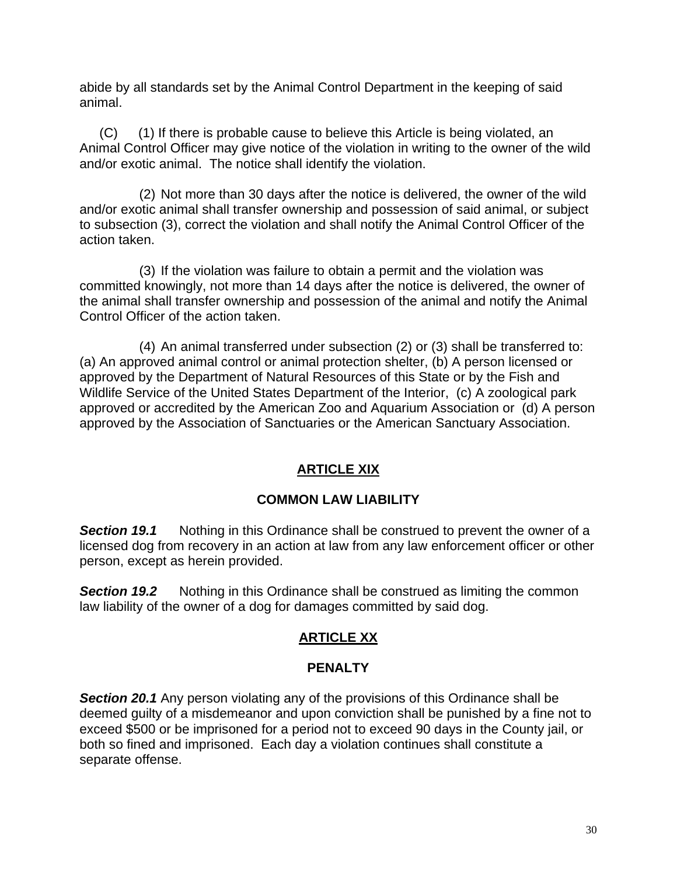abide by all standards set by the Animal Control Department in the keeping of said animal.

(C) (1) If there is probable cause to believe this Article is being violated, an Animal Control Officer may give notice of the violation in writing to the owner of the wild and/or exotic animal. The notice shall identify the violation.

(2) Not more than 30 days after the notice is delivered, the owner of the wild and/or exotic animal shall transfer ownership and possession of said animal, or subject to subsection (3), correct the violation and shall notify the Animal Control Officer of the action taken.

(3) If the violation was failure to obtain a permit and the violation was committed knowingly, not more than 14 days after the notice is delivered, the owner of the animal shall transfer ownership and possession of the animal and notify the Animal Control Officer of the action taken.

(4) An animal transferred under subsection (2) or (3) shall be transferred to: (a) An approved animal control or animal protection shelter, (b) A person licensed or approved by the Department of Natural Resources of this State or by the Fish and Wildlife Service of the United States Department of the Interior, (c) A zoological park approved or accredited by the American Zoo and Aquarium Association or (d) A person approved by the Association of Sanctuaries or the American Sanctuary Association.

## **ARTICLE XIX**

## **COMMON LAW LIABILITY**

*Section 19.1* Nothing in this Ordinance shall be construed to prevent the owner of a licensed dog from recovery in an action at law from any law enforcement officer or other person, except as herein provided.

**Section 19.2** Nothing in this Ordinance shall be construed as limiting the common law liability of the owner of a dog for damages committed by said dog.

## **ARTICLE XX**

## **PENALTY**

**Section 20.1** Any person violating any of the provisions of this Ordinance shall be deemed guilty of a misdemeanor and upon conviction shall be punished by a fine not to exceed \$500 or be imprisoned for a period not to exceed 90 days in the County jail, or both so fined and imprisoned. Each day a violation continues shall constitute a separate offense.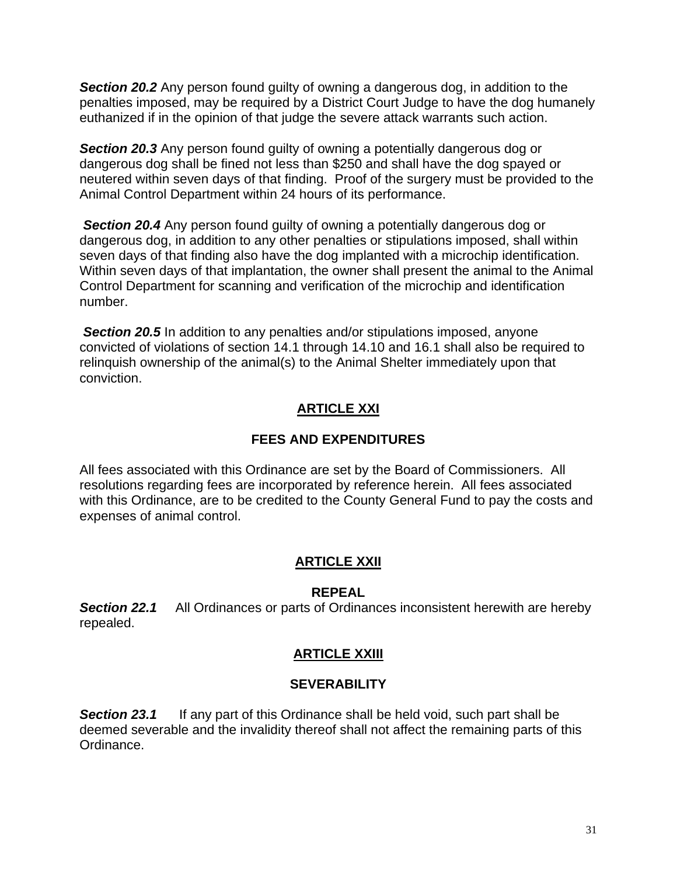*Section 20.2* Any person found guilty of owning a dangerous dog, in addition to the penalties imposed, may be required by a District Court Judge to have the dog humanely euthanized if in the opinion of that judge the severe attack warrants such action.

**Section 20.3** Any person found guilty of owning a potentially dangerous dog or dangerous dog shall be fined not less than \$250 and shall have the dog spayed or neutered within seven days of that finding. Proof of the surgery must be provided to the Animal Control Department within 24 hours of its performance.

**Section 20.4** Any person found guilty of owning a potentially dangerous dog or dangerous dog, in addition to any other penalties or stipulations imposed, shall within seven days of that finding also have the dog implanted with a microchip identification. Within seven days of that implantation, the owner shall present the animal to the Animal Control Department for scanning and verification of the microchip and identification number.

*Section 20.5* In addition to any penalties and/or stipulations imposed, anyone convicted of violations of section 14.1 through 14.10 and 16.1 shall also be required to relinquish ownership of the animal(s) to the Animal Shelter immediately upon that conviction.

# **ARTICLE XXI**

## **FEES AND EXPENDITURES**

All fees associated with this Ordinance are set by the Board of Commissioners. All resolutions regarding fees are incorporated by reference herein. All fees associated with this Ordinance, are to be credited to the County General Fund to pay the costs and expenses of animal control.

## **ARTICLE XXII**

## **REPEAL**

**Section 22.1** All Ordinances or parts of Ordinances inconsistent herewith are hereby repealed.

## **ARTICLE XXIII**

## **SEVERABILITY**

**Section 23.1** If any part of this Ordinance shall be held void, such part shall be deemed severable and the invalidity thereof shall not affect the remaining parts of this Ordinance.